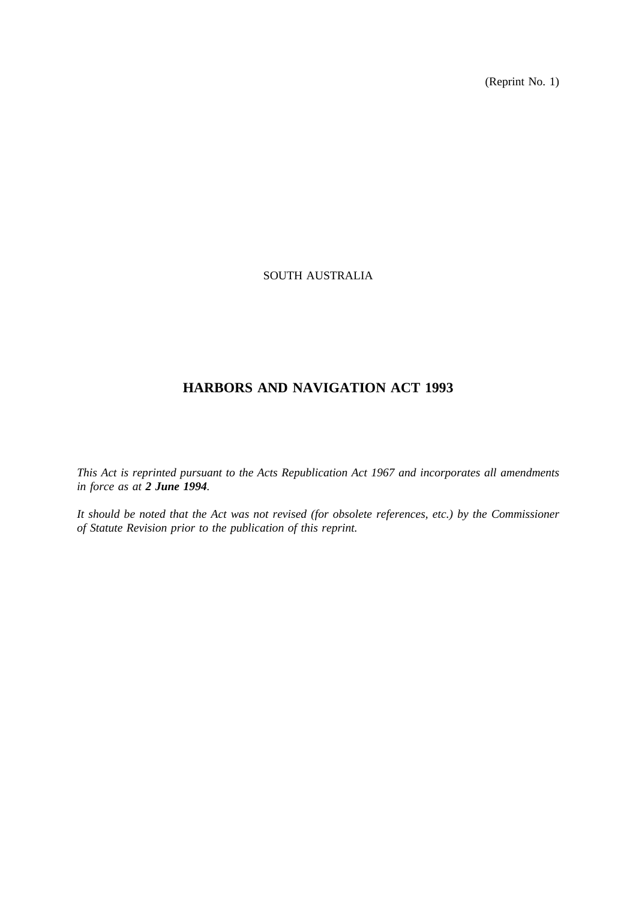(Reprint No. 1)

# SOUTH AUSTRALIA

# **HARBORS AND NAVIGATION ACT 1993**

*This Act is reprinted pursuant to the Acts Republication Act 1967 and incorporates all amendments in force as at 2 June 1994.*

*It should be noted that the Act was not revised (for obsolete references, etc.) by the Commissioner of Statute Revision prior to the publication of this reprint.*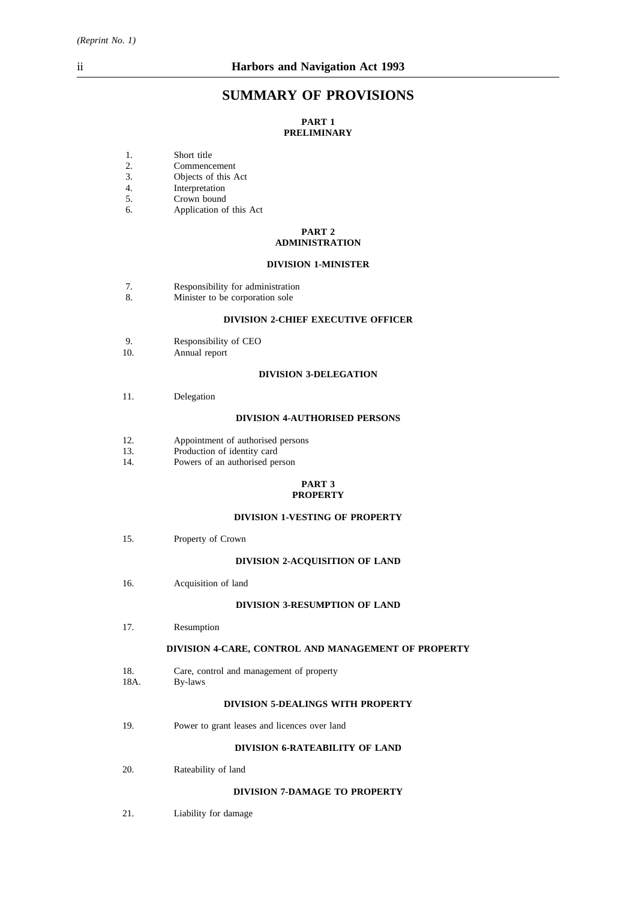# **SUMMARY OF PROVISIONS**

### **PART 1 PRELIMINARY**

- 1. Short title
- 2. Commencement<br>3. Objects of this A
- 3. Objects of this Act 4.
- Interpretation
- 5. Crown bound
- 6. Application of this Act

#### **PART 2 ADMINISTRATION**

#### **DIVISION 1-MINISTER**

- 7. Responsibility for administration
- 8. Minister to be corporation sole

### **DIVISION 2-CHIEF EXECUTIVE OFFICER**

- 9. Responsibility of CEO<br>10. Annual report
- Annual report

#### **DIVISION 3-DELEGATION**

11. Delegation

#### **DIVISION 4-AUTHORISED PERSONS**

- 12. Appointment of authorised persons<br>13. Production of identity card
- 13. Production of identity card<br>14. Powers of an authorised pe
- Powers of an authorised person

#### **PART 3 PROPERTY**

#### **DIVISION 1-VESTING OF PROPERTY**

15. Property of Crown

#### **DIVISION 2-ACQUISITION OF LAND**

16. Acquisition of land

#### **DIVISION 3-RESUMPTION OF LAND**

17. Resumption

#### **DIVISION 4-CARE, CONTROL AND MANAGEMENT OF PROPERTY**

- 18. Care, control and management of property
- 18A. By-laws

### **DIVISION 5-DEALINGS WITH PROPERTY**

19. Power to grant leases and licences over land

#### **DIVISION 6-RATEABILITY OF LAND**

20. Rateability of land

### **DIVISION 7-DAMAGE TO PROPERTY**

21. Liability for damage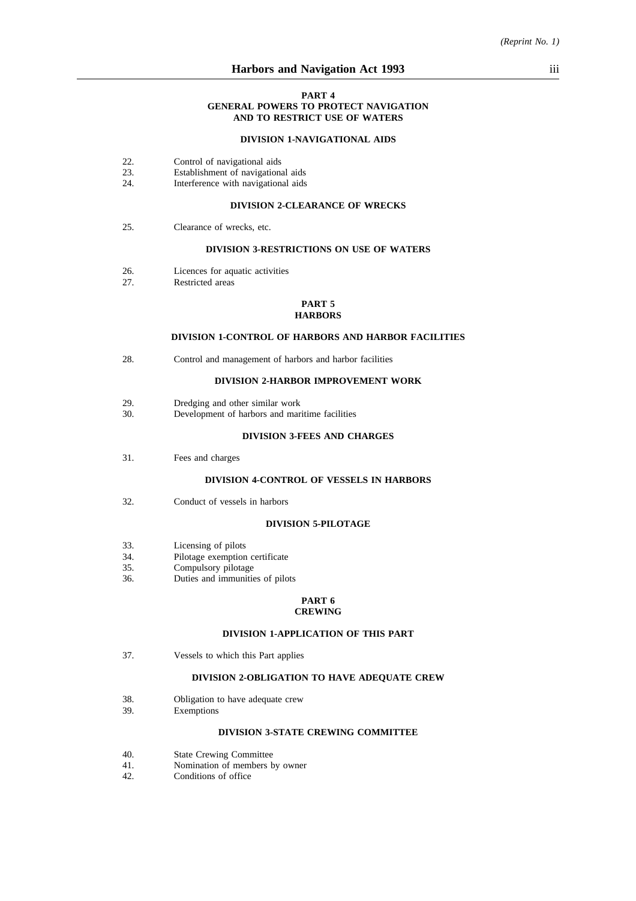#### **PART 4 GENERAL POWERS TO PROTECT NAVIGATION AND TO RESTRICT USE OF WATERS**

#### **DIVISION 1-NAVIGATIONAL AIDS**

- 22. Control of navigational aids<br>23. Establishment of navigations
- 23. Establishment of navigational aids<br>24. Interference with navigational aids
- Interference with navigational aids

### **DIVISION 2-CLEARANCE OF WRECKS**

25. Clearance of wrecks, etc.

#### **DIVISION 3-RESTRICTIONS ON USE OF WATERS**

- 26. Licences for aquatic activities
- 27. Restricted areas

#### **PART 5 HARBORS**

#### **DIVISION 1-CONTROL OF HARBORS AND HARBOR FACILITIES**

28. Control and management of harbors and harbor facilities

#### **DIVISION 2-HARBOR IMPROVEMENT WORK**

- 29. Dredging and other similar work
- 30. Development of harbors and maritime facilities

#### **DIVISION 3-FEES AND CHARGES**

31. Fees and charges

#### **DIVISION 4-CONTROL OF VESSELS IN HARBORS**

32. Conduct of vessels in harbors

#### **DIVISION 5-PILOTAGE**

- 33. Licensing of pilots<br>34. Pilotage exemption
- 34. Pilotage exemption certificate<br>35. Compulsory pilotage
- Compulsory pilotage
- 36. Duties and immunities of pilots

#### **PART 6 CREWING**

#### **DIVISION 1-APPLICATION OF THIS PART**

37. Vessels to which this Part applies

### **DIVISION 2-OBLIGATION TO HAVE ADEQUATE CREW**

- 38. **Obligation to have adequate crew**<br>39. **Exemptions** 
	- **Exemptions**

#### **DIVISION 3-STATE CREWING COMMITTEE**

- 40. State Crewing Committee
- 41. Nomination of members by owner
- 42. Conditions of office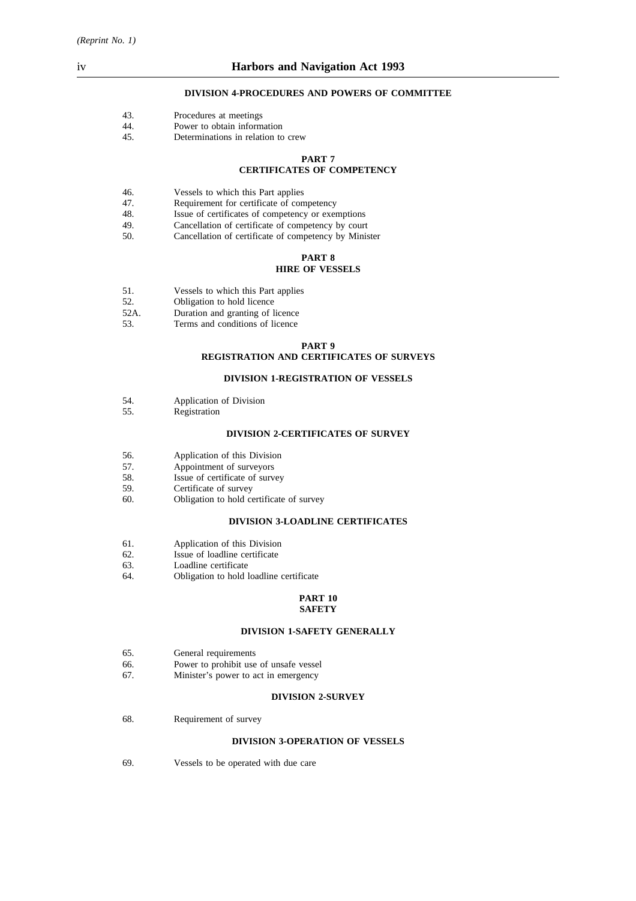#### **DIVISION 4-PROCEDURES AND POWERS OF COMMITTEE**

| Procedures at meetings |
|------------------------|
|                        |

- 44. Power to obtain information
- 45. Determinations in relation to crew

#### **PART 7**

### **CERTIFICATES OF COMPETENCY**

- 46. Vessels to which this Part applies<br>47. Requirement for certificate of con
- Requirement for certificate of competency
- 48. Issue of certificates of competency or exemptions
- 49. Cancellation of certificate of competency by court
- 50. Cancellation of certificate of competency by Minister

#### **PART 8 HIRE OF VESSELS**

- 51. Vessels to which this Part applies<br>52. Obligation to hold licence
- 52. **Obligation to hold licence**<br>52A. **Duration and granting of l**
- Duration and granting of licence
- 53. Terms and conditions of licence

#### **PART 9**

### **REGISTRATION AND CERTIFICATES OF SURVEYS**

#### **DIVISION 1-REGISTRATION OF VESSELS**

- 54. Application of Division<br>55. Registration
- Registration

#### **DIVISION 2-CERTIFICATES OF SURVEY**

- 56. Application of this Division
- 57. Appointment of surveyors<br>58. Issue of certificate of surv
- Issue of certificate of survey
- 59. Certificate of survey<br>60. Obligation to hold ce
- Obligation to hold certificate of survey

#### **DIVISION 3-LOADLINE CERTIFICATES**

- 61. Application of this Division
- 62. Issue of loadline certificate
- 63. Loadline certificate
- 64. Obligation to hold loadline certificate

#### **PART 10 SAFETY**

#### **DIVISION 1-SAFETY GENERALLY**

- 65. General requirements
- 66. Power to prohibit use of unsafe vessel
- 67. Minister's power to act in emergency

#### **DIVISION 2-SURVEY**

68. Requirement of survey

#### **DIVISION 3-OPERATION OF VESSELS**

69. Vessels to be operated with due care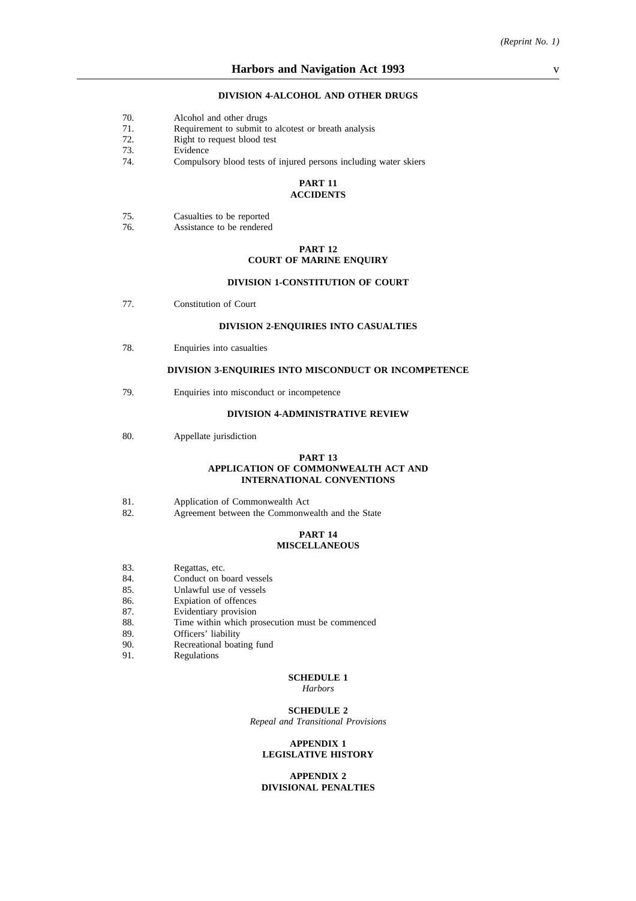#### **DIVISION 4-ALCOHOL AND OTHER DRUGS**

- 70. Alcohol and other drugs
- 71. Requirement to submit to alcotest or breath analysis
- 72. Right to request blood test
- 73. Evidence<br>74. Compulso
- Compulsory blood tests of injured persons including water skiers

#### **PART 11 ACCIDENTS**

| 75. | Casualties to be reported |  |
|-----|---------------------------|--|
|-----|---------------------------|--|

76. Assistance to be rendered

#### **PART 12 COURT OF MARINE ENQUIRY**

#### **DIVISION 1-CONSTITUTION OF COURT**

77. Constitution of Court

#### **DIVISION 2-ENQUIRIES INTO CASUALTIES**

78. Enquiries into casualties

#### **DIVISION 3-ENQUIRIES INTO MISCONDUCT OR INCOMPETENCE**

79. Enquiries into misconduct or incompetence

### **DIVISION 4-ADMINISTRATIVE REVIEW**

80. Appellate jurisdiction

#### **PART 13 APPLICATION OF COMMONWEALTH ACT AND INTERNATIONAL CONVENTIONS**

- 81. Application of Commonwealth Act
- 82. Agreement between the Commonwealth and the State

#### **PART 14 MISCELLANEOUS**

- 83. Regattas, etc.
- 84. Conduct on board vessels
- 85. Unlawful use of vessels
- 86. Expiation of offences
- 87. Evidentiary provision
- 88. Time within which prosecution must be commenced
- 89. Officers' liability
- 90. Recreational boating fund
- 91. Regulations

### **SCHEDULE 1**

*Harbors*

**SCHEDULE 2** *Repeal and Transitional Provisions*

#### **APPENDIX 1 LEGISLATIVE HISTORY**

#### **APPENDIX 2 DIVISIONAL PENALTIES**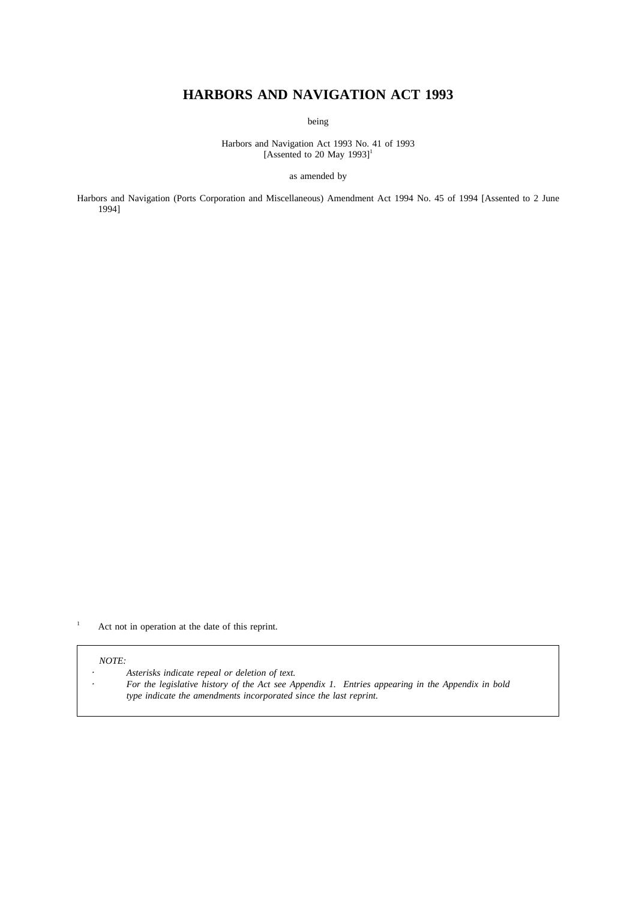# **HARBORS AND NAVIGATION ACT 1993**

being

Harbors and Navigation Act 1993 No. 41 of 1993 [Assented to 20 May 1993]<sup>1</sup>

as amended by

Harbors and Navigation (Ports Corporation and Miscellaneous) Amendment Act 1994 No. 45 of 1994 [Assented to 2 June 1994]

<sup>1</sup> Act not in operation at the date of this reprint.

#### *NOTE:*

 $\ddot{\phantom{a}}$ 

*Asterisks indicate repeal or deletion of text.*

*For the legislative history of the Act see Appendix 1. Entries appearing in the Appendix in bold type indicate the amendments incorporated since the last reprint.*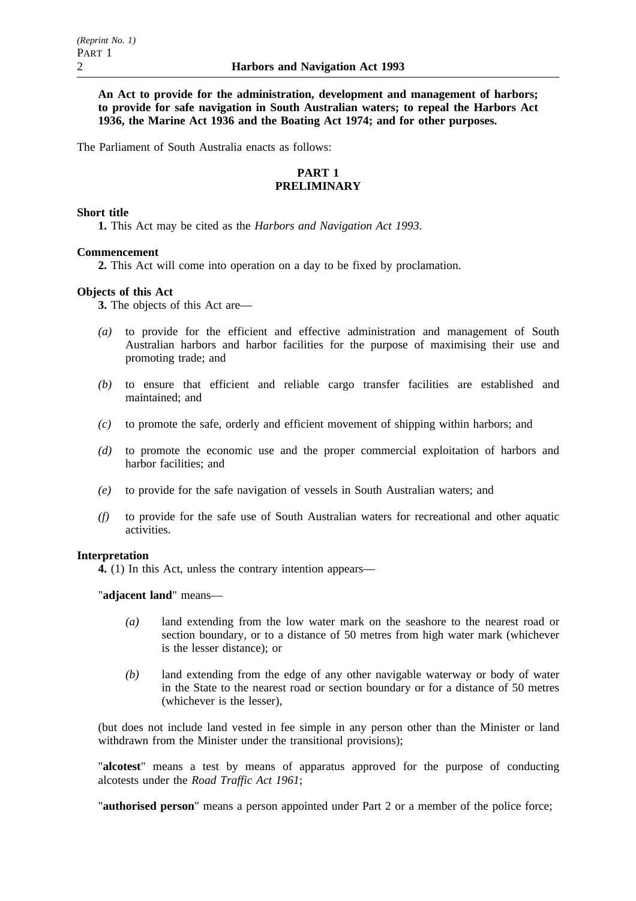**An Act to provide for the administration, development and management of harbors; to provide for safe navigation in South Australian waters; to repeal the Harbors Act 1936, the Marine Act 1936 and the Boating Act 1974; and for other purposes.**

The Parliament of South Australia enacts as follows:

### **PART 1 PRELIMINARY**

### **Short title**

**1.** This Act may be cited as the *Harbors and Navigation Act 1993*.

### **Commencement**

**2.** This Act will come into operation on a day to be fixed by proclamation.

### **Objects of this Act**

**3.** The objects of this Act are—

- *(a)* to provide for the efficient and effective administration and management of South Australian harbors and harbor facilities for the purpose of maximising their use and promoting trade; and
- *(b)* to ensure that efficient and reliable cargo transfer facilities are established and maintained; and
- *(c)* to promote the safe, orderly and efficient movement of shipping within harbors; and
- *(d)* to promote the economic use and the proper commercial exploitation of harbors and harbor facilities; and
- *(e)* to provide for the safe navigation of vessels in South Australian waters; and
- *(f)* to provide for the safe use of South Australian waters for recreational and other aquatic activities.

#### **Interpretation**

**4.** (1) In this Act, unless the contrary intention appears—

"**adjacent land**" means—

- *(a)* land extending from the low water mark on the seashore to the nearest road or section boundary, or to a distance of 50 metres from high water mark (whichever is the lesser distance); or
- *(b)* land extending from the edge of any other navigable waterway or body of water in the State to the nearest road or section boundary or for a distance of 50 metres (whichever is the lesser),

(but does not include land vested in fee simple in any person other than the Minister or land withdrawn from the Minister under the transitional provisions);

"**alcotest**" means a test by means of apparatus approved for the purpose of conducting alcotests under the *Road Traffic Act 1961*;

"**authorised person**" means a person appointed under Part 2 or a member of the police force;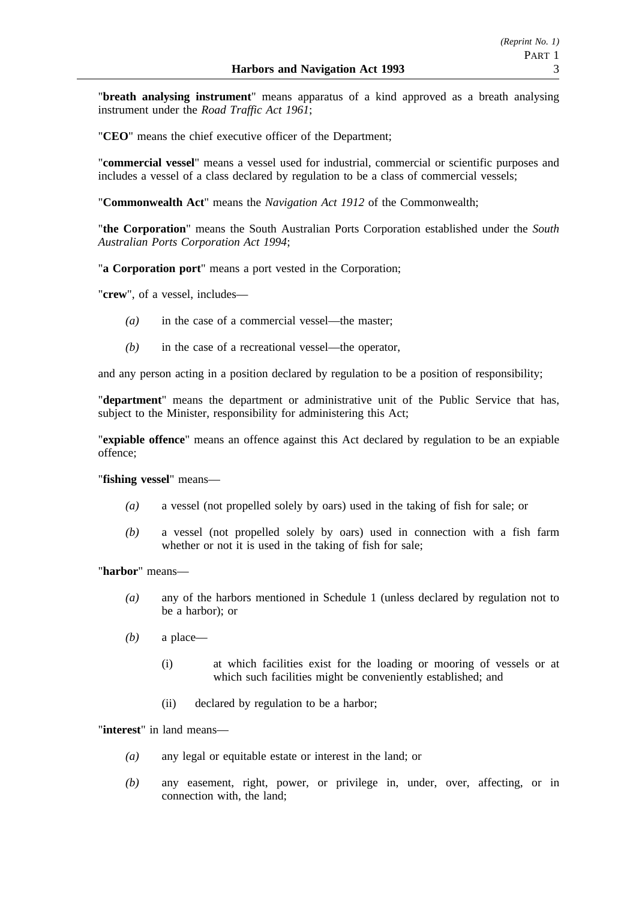"**breath analysing instrument**" means apparatus of a kind approved as a breath analysing instrument under the *Road Traffic Act 1961*;

"**CEO**" means the chief executive officer of the Department;

"**commercial vessel**" means a vessel used for industrial, commercial or scientific purposes and includes a vessel of a class declared by regulation to be a class of commercial vessels;

"**Commonwealth Act**" means the *Navigation Act 1912* of the Commonwealth;

"**the Corporation**" means the South Australian Ports Corporation established under the *South Australian Ports Corporation Act 1994*;

"**a Corporation port**" means a port vested in the Corporation;

"**crew**", of a vessel, includes—

- *(a)* in the case of a commercial vessel—the master;
- *(b)* in the case of a recreational vessel—the operator,

and any person acting in a position declared by regulation to be a position of responsibility;

"**department**" means the department or administrative unit of the Public Service that has, subject to the Minister, responsibility for administering this Act;

"**expiable offence**" means an offence against this Act declared by regulation to be an expiable offence;

"**fishing vessel**" means—

- *(a)* a vessel (not propelled solely by oars) used in the taking of fish for sale; or
- *(b)* a vessel (not propelled solely by oars) used in connection with a fish farm whether or not it is used in the taking of fish for sale:

"**harbor**" means—

- *(a)* any of the harbors mentioned in Schedule 1 (unless declared by regulation not to be a harbor); or
- *(b)* a place—
	- (i) at which facilities exist for the loading or mooring of vessels or at which such facilities might be conveniently established; and
	- (ii) declared by regulation to be a harbor;

"**interest**" in land means—

- *(a)* any legal or equitable estate or interest in the land; or
- *(b)* any easement, right, power, or privilege in, under, over, affecting, or in connection with, the land;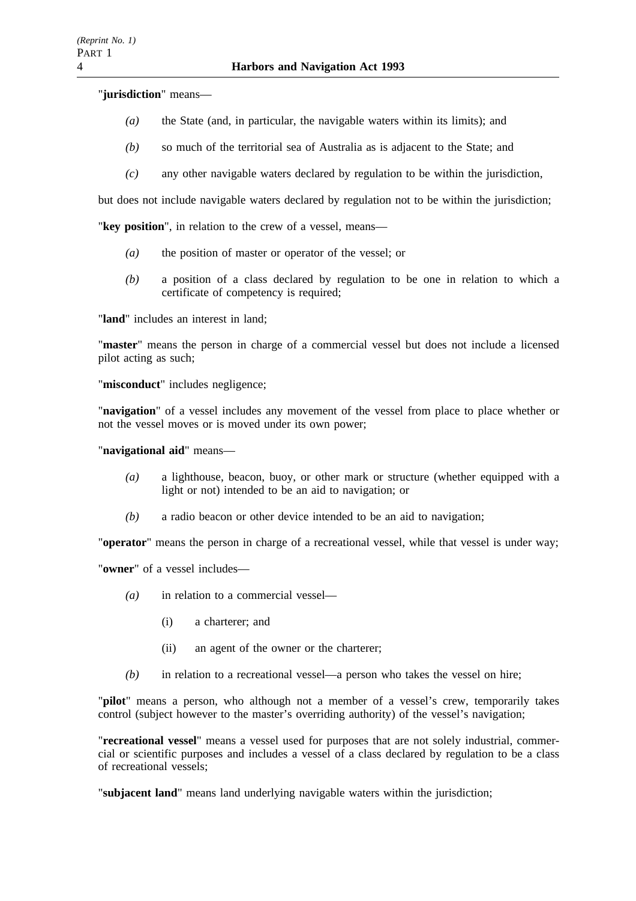"**jurisdiction**" means—

- *(a)* the State (and, in particular, the navigable waters within its limits); and
- *(b)* so much of the territorial sea of Australia as is adjacent to the State; and
- *(c)* any other navigable waters declared by regulation to be within the jurisdiction,

but does not include navigable waters declared by regulation not to be within the jurisdiction;

"**key position**", in relation to the crew of a vessel, means—

- *(a)* the position of master or operator of the vessel; or
- *(b)* a position of a class declared by regulation to be one in relation to which a certificate of competency is required;

"**land**" includes an interest in land;

"**master**" means the person in charge of a commercial vessel but does not include a licensed pilot acting as such;

"**misconduct**" includes negligence;

"**navigation**" of a vessel includes any movement of the vessel from place to place whether or not the vessel moves or is moved under its own power;

"**navigational aid**" means—

- *(a)* a lighthouse, beacon, buoy, or other mark or structure (whether equipped with a light or not) intended to be an aid to navigation; or
- *(b)* a radio beacon or other device intended to be an aid to navigation;

"**operator**" means the person in charge of a recreational vessel, while that vessel is under way;

"**owner**" of a vessel includes—

- *(a)* in relation to a commercial vessel—
	- (i) a charterer; and
	- (ii) an agent of the owner or the charterer;
- *(b)* in relation to a recreational vessel—a person who takes the vessel on hire;

"**pilot**" means a person, who although not a member of a vessel's crew, temporarily takes control (subject however to the master's overriding authority) of the vessel's navigation;

"**recreational vessel**" means a vessel used for purposes that are not solely industrial, commercial or scientific purposes and includes a vessel of a class declared by regulation to be a class of recreational vessels;

"**subjacent land**" means land underlying navigable waters within the jurisdiction;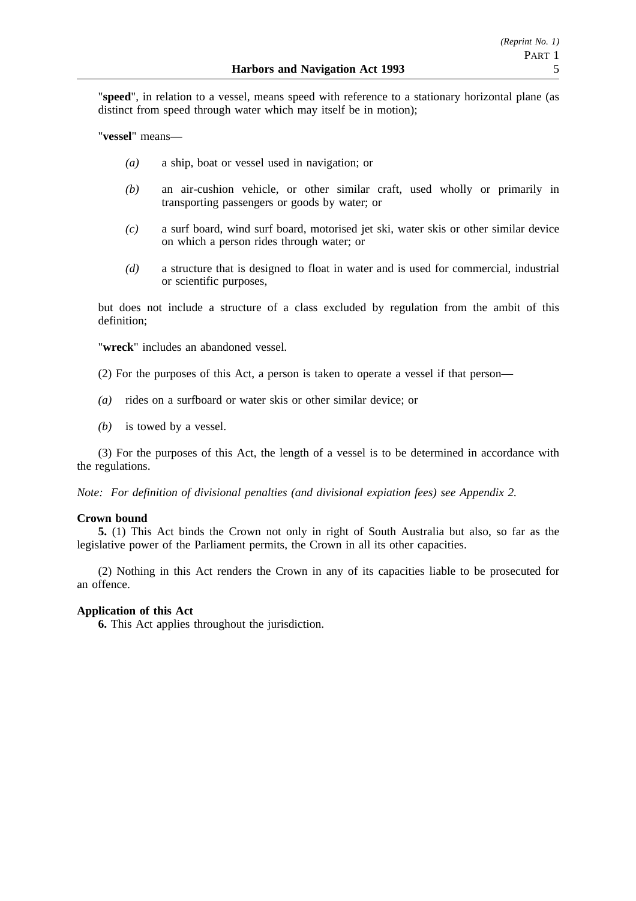"**speed**", in relation to a vessel, means speed with reference to a stationary horizontal plane (as distinct from speed through water which may itself be in motion);

"**vessel**" means—

- *(a)* a ship, boat or vessel used in navigation; or
- *(b)* an air-cushion vehicle, or other similar craft, used wholly or primarily in transporting passengers or goods by water; or
- *(c)* a surf board, wind surf board, motorised jet ski, water skis or other similar device on which a person rides through water; or
- *(d)* a structure that is designed to float in water and is used for commercial, industrial or scientific purposes,

but does not include a structure of a class excluded by regulation from the ambit of this definition;

"**wreck**" includes an abandoned vessel.

- (2) For the purposes of this Act, a person is taken to operate a vessel if that person—
- *(a)* rides on a surfboard or water skis or other similar device; or
- *(b)* is towed by a vessel.

(3) For the purposes of this Act, the length of a vessel is to be determined in accordance with the regulations.

*Note: For definition of divisional penalties (and divisional expiation fees) see Appendix 2.*

### **Crown bound**

**5.** (1) This Act binds the Crown not only in right of South Australia but also, so far as the legislative power of the Parliament permits, the Crown in all its other capacities.

(2) Nothing in this Act renders the Crown in any of its capacities liable to be prosecuted for an offence.

### **Application of this Act**

**6.** This Act applies throughout the jurisdiction.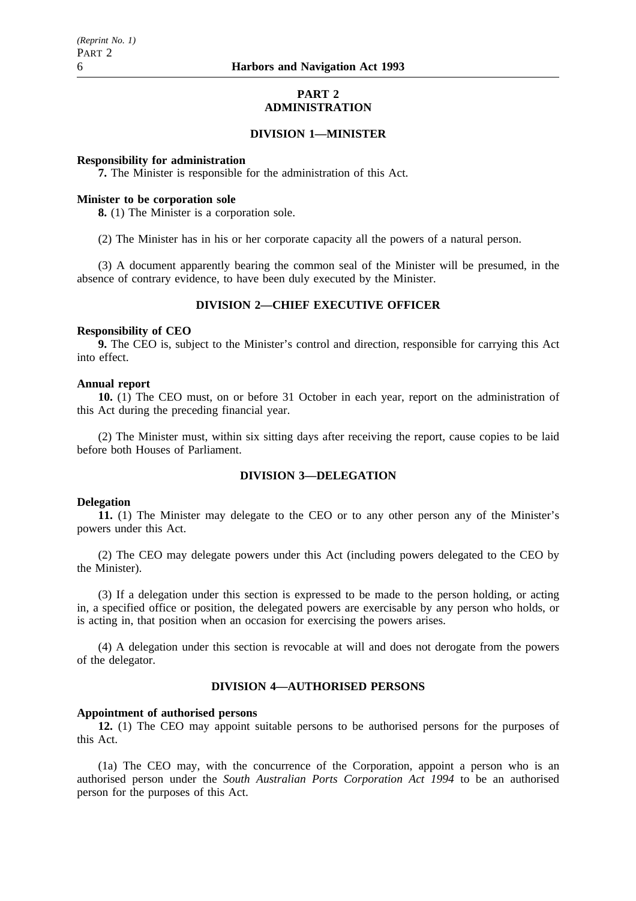### **PART 2 ADMINISTRATION**

### **DIVISION 1—MINISTER**

### **Responsibility for administration**

**7.** The Minister is responsible for the administration of this Act.

### **Minister to be corporation sole**

**8.** (1) The Minister is a corporation sole.

(2) The Minister has in his or her corporate capacity all the powers of a natural person.

(3) A document apparently bearing the common seal of the Minister will be presumed, in the absence of contrary evidence, to have been duly executed by the Minister.

### **DIVISION 2—CHIEF EXECUTIVE OFFICER**

#### **Responsibility of CEO**

**9.** The CEO is, subject to the Minister's control and direction, responsible for carrying this Act into effect.

### **Annual report**

**10.** (1) The CEO must, on or before 31 October in each year, report on the administration of this Act during the preceding financial year.

(2) The Minister must, within six sitting days after receiving the report, cause copies to be laid before both Houses of Parliament.

### **DIVISION 3—DELEGATION**

#### **Delegation**

**11.** (1) The Minister may delegate to the CEO or to any other person any of the Minister's powers under this Act.

(2) The CEO may delegate powers under this Act (including powers delegated to the CEO by the Minister).

(3) If a delegation under this section is expressed to be made to the person holding, or acting in, a specified office or position, the delegated powers are exercisable by any person who holds, or is acting in, that position when an occasion for exercising the powers arises.

(4) A delegation under this section is revocable at will and does not derogate from the powers of the delegator.

### **DIVISION 4—AUTHORISED PERSONS**

#### **Appointment of authorised persons**

**12.** (1) The CEO may appoint suitable persons to be authorised persons for the purposes of this Act.

(1a) The CEO may, with the concurrence of the Corporation, appoint a person who is an authorised person under the *South Australian Ports Corporation Act 1994* to be an authorised person for the purposes of this Act.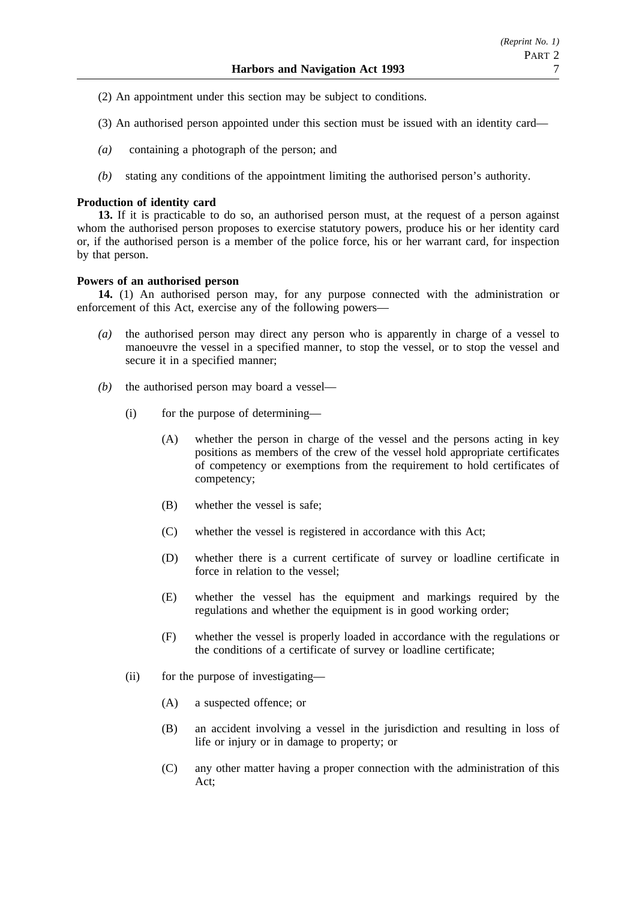- (2) An appointment under this section may be subject to conditions.
- (3) An authorised person appointed under this section must be issued with an identity card—
- *(a)* containing a photograph of the person; and
- *(b)* stating any conditions of the appointment limiting the authorised person's authority.

### **Production of identity card**

**13.** If it is practicable to do so, an authorised person must, at the request of a person against whom the authorised person proposes to exercise statutory powers, produce his or her identity card or, if the authorised person is a member of the police force, his or her warrant card, for inspection by that person.

### **Powers of an authorised person**

**14.** (1) An authorised person may, for any purpose connected with the administration or enforcement of this Act, exercise any of the following powers—

- *(a)* the authorised person may direct any person who is apparently in charge of a vessel to manoeuvre the vessel in a specified manner, to stop the vessel, or to stop the vessel and secure it in a specified manner;
- *(b)* the authorised person may board a vessel—
	- (i) for the purpose of determining—
		- (A) whether the person in charge of the vessel and the persons acting in key positions as members of the crew of the vessel hold appropriate certificates of competency or exemptions from the requirement to hold certificates of competency;
		- (B) whether the vessel is safe;
		- (C) whether the vessel is registered in accordance with this Act;
		- (D) whether there is a current certificate of survey or loadline certificate in force in relation to the vessel;
		- (E) whether the vessel has the equipment and markings required by the regulations and whether the equipment is in good working order;
		- (F) whether the vessel is properly loaded in accordance with the regulations or the conditions of a certificate of survey or loadline certificate;
	- (ii) for the purpose of investigating—
		- (A) a suspected offence; or
		- (B) an accident involving a vessel in the jurisdiction and resulting in loss of life or injury or in damage to property; or
		- (C) any other matter having a proper connection with the administration of this Act;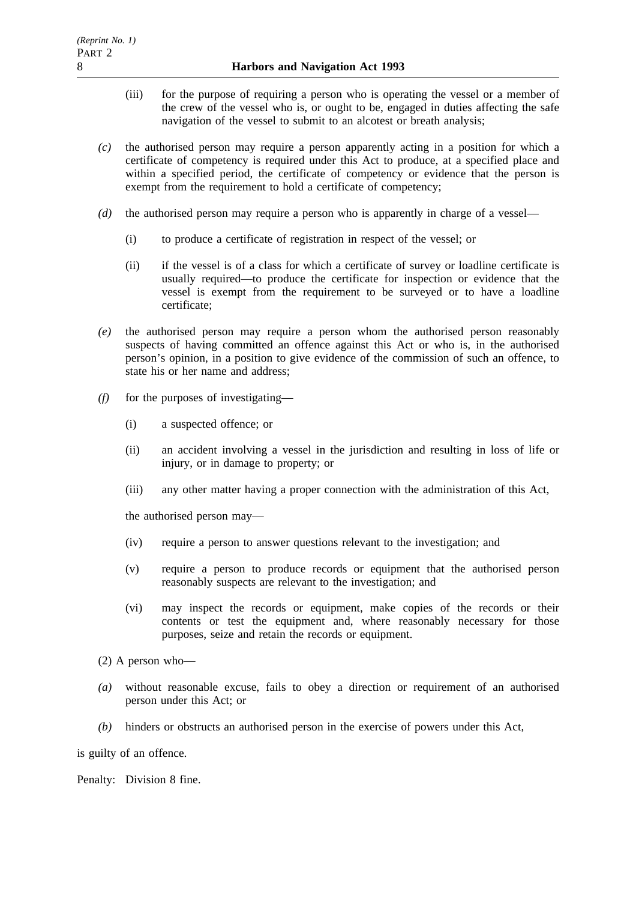- (iii) for the purpose of requiring a person who is operating the vessel or a member of the crew of the vessel who is, or ought to be, engaged in duties affecting the safe navigation of the vessel to submit to an alcotest or breath analysis;
- *(c)* the authorised person may require a person apparently acting in a position for which a certificate of competency is required under this Act to produce, at a specified place and within a specified period, the certificate of competency or evidence that the person is exempt from the requirement to hold a certificate of competency;
- *(d)* the authorised person may require a person who is apparently in charge of a vessel—
	- (i) to produce a certificate of registration in respect of the vessel; or
	- (ii) if the vessel is of a class for which a certificate of survey or loadline certificate is usually required—to produce the certificate for inspection or evidence that the vessel is exempt from the requirement to be surveyed or to have a loadline certificate;
- *(e)* the authorised person may require a person whom the authorised person reasonably suspects of having committed an offence against this Act or who is, in the authorised person's opinion, in a position to give evidence of the commission of such an offence, to state his or her name and address:
- *(f)* for the purposes of investigating—
	- (i) a suspected offence; or
	- (ii) an accident involving a vessel in the jurisdiction and resulting in loss of life or injury, or in damage to property; or
	- (iii) any other matter having a proper connection with the administration of this Act,

the authorised person may—

- (iv) require a person to answer questions relevant to the investigation; and
- (v) require a person to produce records or equipment that the authorised person reasonably suspects are relevant to the investigation; and
- (vi) may inspect the records or equipment, make copies of the records or their contents or test the equipment and, where reasonably necessary for those purposes, seize and retain the records or equipment.

(2) A person who—

- *(a)* without reasonable excuse, fails to obey a direction or requirement of an authorised person under this Act; or
- *(b)* hinders or obstructs an authorised person in the exercise of powers under this Act,

is guilty of an offence.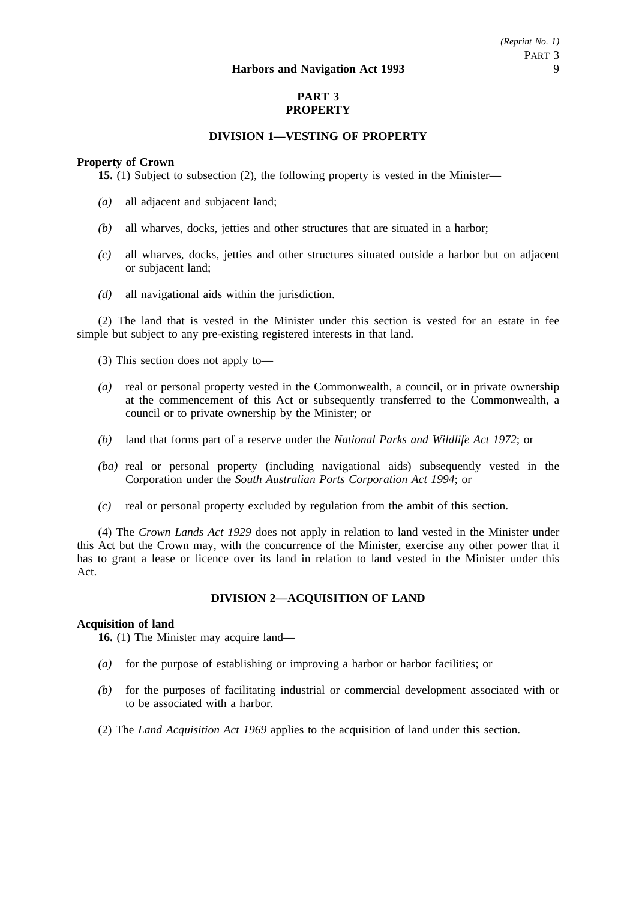### **PART 3 PROPERTY**

### **DIVISION 1—VESTING OF PROPERTY**

### **Property of Crown**

**15.** (1) Subject to subsection (2), the following property is vested in the Minister—

- *(a)* all adjacent and subjacent land;
- *(b)* all wharves, docks, jetties and other structures that are situated in a harbor;
- *(c)* all wharves, docks, jetties and other structures situated outside a harbor but on adjacent or subjacent land;
- *(d)* all navigational aids within the jurisdiction.

(2) The land that is vested in the Minister under this section is vested for an estate in fee simple but subject to any pre-existing registered interests in that land.

(3) This section does not apply to—

- *(a)* real or personal property vested in the Commonwealth, a council, or in private ownership at the commencement of this Act or subsequently transferred to the Commonwealth, a council or to private ownership by the Minister; or
- *(b)* land that forms part of a reserve under the *National Parks and Wildlife Act 1972*; or
- *(ba)* real or personal property (including navigational aids) subsequently vested in the Corporation under the *South Australian Ports Corporation Act 1994*; or
- *(c)* real or personal property excluded by regulation from the ambit of this section.

(4) The *Crown Lands Act 1929* does not apply in relation to land vested in the Minister under this Act but the Crown may, with the concurrence of the Minister, exercise any other power that it has to grant a lease or licence over its land in relation to land vested in the Minister under this Act.

### **DIVISION 2—ACQUISITION OF LAND**

### **Acquisition of land**

**16.** (1) The Minister may acquire land—

- *(a)* for the purpose of establishing or improving a harbor or harbor facilities; or
- *(b)* for the purposes of facilitating industrial or commercial development associated with or to be associated with a harbor.
- (2) The *Land Acquisition Act 1969* applies to the acquisition of land under this section.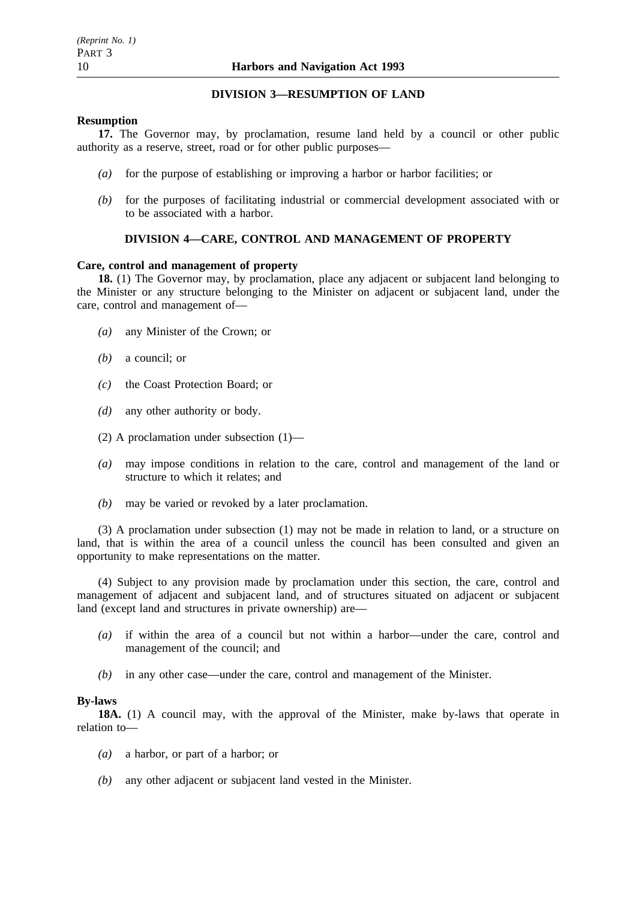### **DIVISION 3—RESUMPTION OF LAND**

### **Resumption**

**17.** The Governor may, by proclamation, resume land held by a council or other public authority as a reserve, street, road or for other public purposes—

- *(a)* for the purpose of establishing or improving a harbor or harbor facilities; or
- *(b)* for the purposes of facilitating industrial or commercial development associated with or to be associated with a harbor.

### **DIVISION 4—CARE, CONTROL AND MANAGEMENT OF PROPERTY**

### **Care, control and management of property**

**18.** (1) The Governor may, by proclamation, place any adjacent or subjacent land belonging to the Minister or any structure belonging to the Minister on adjacent or subjacent land, under the care, control and management of—

- *(a)* any Minister of the Crown; or
- *(b)* a council; or
- *(c)* the Coast Protection Board; or
- *(d)* any other authority or body.
- (2) A proclamation under subsection (1)—
- *(a)* may impose conditions in relation to the care, control and management of the land or structure to which it relates; and
- *(b)* may be varied or revoked by a later proclamation.

(3) A proclamation under subsection (1) may not be made in relation to land, or a structure on land, that is within the area of a council unless the council has been consulted and given an opportunity to make representations on the matter.

(4) Subject to any provision made by proclamation under this section, the care, control and management of adjacent and subjacent land, and of structures situated on adjacent or subjacent land (except land and structures in private ownership) are—

- *(a)* if within the area of a council but not within a harbor—under the care, control and management of the council; and
- *(b)* in any other case—under the care, control and management of the Minister.

#### **By-laws**

**18A.** (1) A council may, with the approval of the Minister, make by-laws that operate in relation to—

- *(a)* a harbor, or part of a harbor; or
- *(b)* any other adjacent or subjacent land vested in the Minister.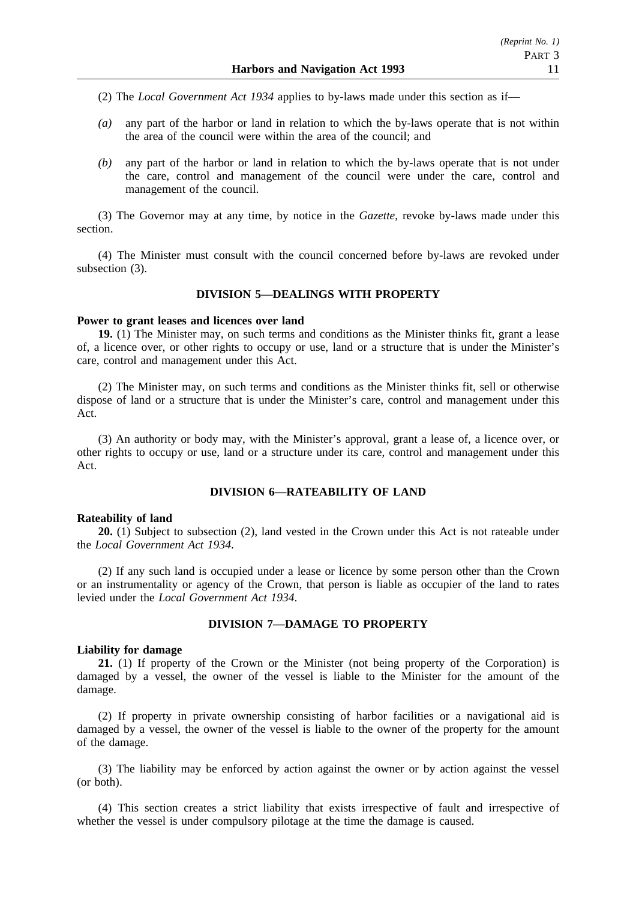- (2) The *Local Government Act 1934* applies to by-laws made under this section as if—
- *(a)* any part of the harbor or land in relation to which the by-laws operate that is not within the area of the council were within the area of the council; and
- *(b)* any part of the harbor or land in relation to which the by-laws operate that is not under the care, control and management of the council were under the care, control and management of the council.

(3) The Governor may at any time, by notice in the *Gazette*, revoke by-laws made under this section.

(4) The Minister must consult with the council concerned before by-laws are revoked under subsection  $(3)$ .

### **DIVISION 5—DEALINGS WITH PROPERTY**

#### **Power to grant leases and licences over land**

**19.** (1) The Minister may, on such terms and conditions as the Minister thinks fit, grant a lease of, a licence over, or other rights to occupy or use, land or a structure that is under the Minister's care, control and management under this Act.

(2) The Minister may, on such terms and conditions as the Minister thinks fit, sell or otherwise dispose of land or a structure that is under the Minister's care, control and management under this Act.

(3) An authority or body may, with the Minister's approval, grant a lease of, a licence over, or other rights to occupy or use, land or a structure under its care, control and management under this Act.

### **DIVISION 6—RATEABILITY OF LAND**

#### **Rateability of land**

**20.** (1) Subject to subsection (2), land vested in the Crown under this Act is not rateable under the *Local Government Act 1934*.

(2) If any such land is occupied under a lease or licence by some person other than the Crown or an instrumentality or agency of the Crown, that person is liable as occupier of the land to rates levied under the *Local Government Act 1934*.

### **DIVISION 7—DAMAGE TO PROPERTY**

#### **Liability for damage**

**21.** (1) If property of the Crown or the Minister (not being property of the Corporation) is damaged by a vessel, the owner of the vessel is liable to the Minister for the amount of the damage.

(2) If property in private ownership consisting of harbor facilities or a navigational aid is damaged by a vessel, the owner of the vessel is liable to the owner of the property for the amount of the damage.

(3) The liability may be enforced by action against the owner or by action against the vessel (or both).

(4) This section creates a strict liability that exists irrespective of fault and irrespective of whether the vessel is under compulsory pilotage at the time the damage is caused.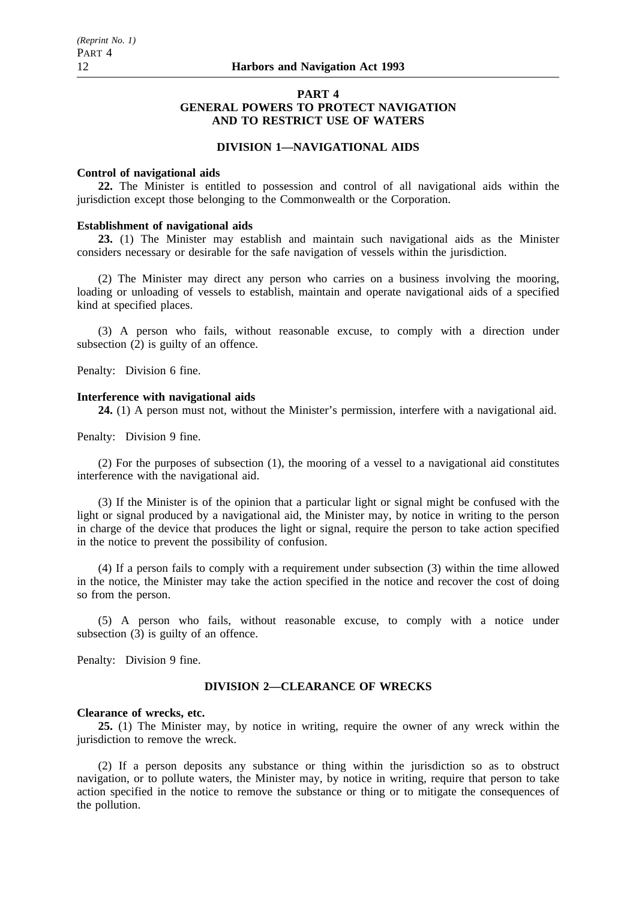### **PART 4 GENERAL POWERS TO PROTECT NAVIGATION AND TO RESTRICT USE OF WATERS**

### **DIVISION 1—NAVIGATIONAL AIDS**

#### **Control of navigational aids**

**22.** The Minister is entitled to possession and control of all navigational aids within the jurisdiction except those belonging to the Commonwealth or the Corporation.

#### **Establishment of navigational aids**

**23.** (1) The Minister may establish and maintain such navigational aids as the Minister considers necessary or desirable for the safe navigation of vessels within the jurisdiction.

(2) The Minister may direct any person who carries on a business involving the mooring, loading or unloading of vessels to establish, maintain and operate navigational aids of a specified kind at specified places.

(3) A person who fails, without reasonable excuse, to comply with a direction under subsection  $(2)$  is guilty of an offence.

Penalty: Division 6 fine.

### **Interference with navigational aids**

**24.** (1) A person must not, without the Minister's permission, interfere with a navigational aid.

Penalty: Division 9 fine.

(2) For the purposes of subsection (1), the mooring of a vessel to a navigational aid constitutes interference with the navigational aid.

(3) If the Minister is of the opinion that a particular light or signal might be confused with the light or signal produced by a navigational aid, the Minister may, by notice in writing to the person in charge of the device that produces the light or signal, require the person to take action specified in the notice to prevent the possibility of confusion.

(4) If a person fails to comply with a requirement under subsection (3) within the time allowed in the notice, the Minister may take the action specified in the notice and recover the cost of doing so from the person.

(5) A person who fails, without reasonable excuse, to comply with a notice under subsection (3) is guilty of an offence.

Penalty: Division 9 fine.

### **DIVISION 2—CLEARANCE OF WRECKS**

### **Clearance of wrecks, etc.**

**25.** (1) The Minister may, by notice in writing, require the owner of any wreck within the jurisdiction to remove the wreck.

(2) If a person deposits any substance or thing within the jurisdiction so as to obstruct navigation, or to pollute waters, the Minister may, by notice in writing, require that person to take action specified in the notice to remove the substance or thing or to mitigate the consequences of the pollution.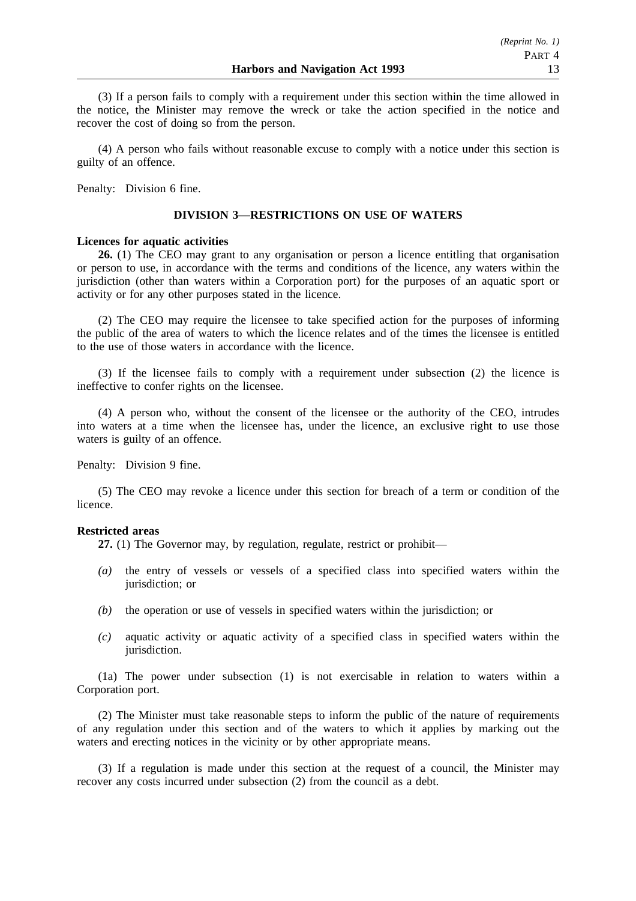(3) If a person fails to comply with a requirement under this section within the time allowed in the notice, the Minister may remove the wreck or take the action specified in the notice and recover the cost of doing so from the person.

(4) A person who fails without reasonable excuse to comply with a notice under this section is guilty of an offence.

Penalty: Division 6 fine.

### **DIVISION 3—RESTRICTIONS ON USE OF WATERS**

#### **Licences for aquatic activities**

**26.** (1) The CEO may grant to any organisation or person a licence entitling that organisation or person to use, in accordance with the terms and conditions of the licence, any waters within the jurisdiction (other than waters within a Corporation port) for the purposes of an aquatic sport or activity or for any other purposes stated in the licence.

(2) The CEO may require the licensee to take specified action for the purposes of informing the public of the area of waters to which the licence relates and of the times the licensee is entitled to the use of those waters in accordance with the licence.

(3) If the licensee fails to comply with a requirement under subsection (2) the licence is ineffective to confer rights on the licensee.

(4) A person who, without the consent of the licensee or the authority of the CEO, intrudes into waters at a time when the licensee has, under the licence, an exclusive right to use those waters is guilty of an offence.

Penalty: Division 9 fine.

(5) The CEO may revoke a licence under this section for breach of a term or condition of the licence.

#### **Restricted areas**

**27.** (1) The Governor may, by regulation, regulate, restrict or prohibit—

- *(a)* the entry of vessels or vessels of a specified class into specified waters within the jurisdiction; or
- *(b)* the operation or use of vessels in specified waters within the jurisdiction; or
- *(c)* aquatic activity or aquatic activity of a specified class in specified waters within the jurisdiction.

(1a) The power under subsection (1) is not exercisable in relation to waters within a Corporation port.

(2) The Minister must take reasonable steps to inform the public of the nature of requirements of any regulation under this section and of the waters to which it applies by marking out the waters and erecting notices in the vicinity or by other appropriate means.

(3) If a regulation is made under this section at the request of a council, the Minister may recover any costs incurred under subsection (2) from the council as a debt.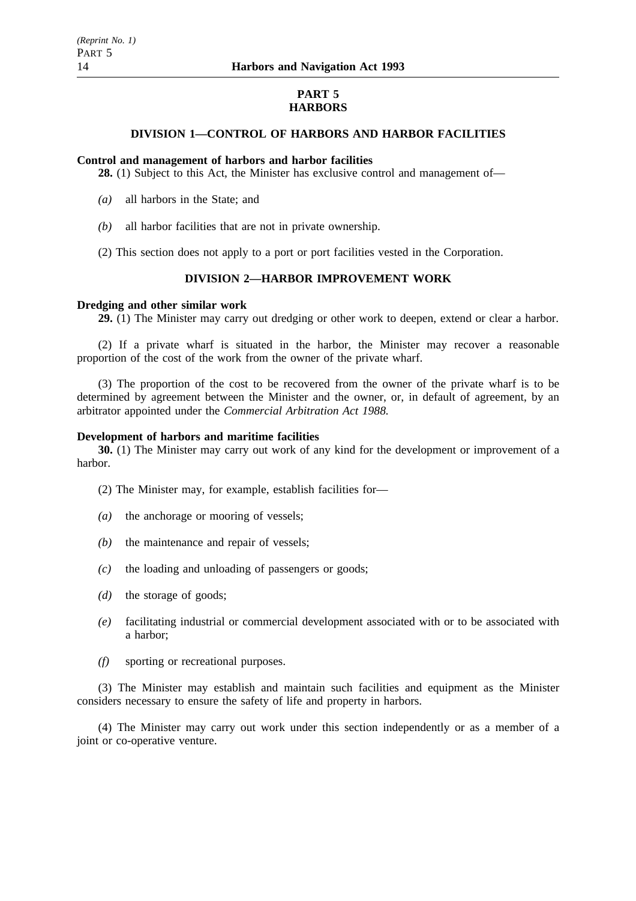### **PART 5 HARBORS**

### **DIVISION 1—CONTROL OF HARBORS AND HARBOR FACILITIES**

#### **Control and management of harbors and harbor facilities**

**28.** (1) Subject to this Act, the Minister has exclusive control and management of—

- *(a)* all harbors in the State; and
- *(b)* all harbor facilities that are not in private ownership.
- (2) This section does not apply to a port or port facilities vested in the Corporation.

### **DIVISION 2—HARBOR IMPROVEMENT WORK**

#### **Dredging and other similar work**

**29.** (1) The Minister may carry out dredging or other work to deepen, extend or clear a harbor.

(2) If a private wharf is situated in the harbor, the Minister may recover a reasonable proportion of the cost of the work from the owner of the private wharf.

(3) The proportion of the cost to be recovered from the owner of the private wharf is to be determined by agreement between the Minister and the owner, or, in default of agreement, by an arbitrator appointed under the *Commercial Arbitration Act 1988.*

#### **Development of harbors and maritime facilities**

**30.** (1) The Minister may carry out work of any kind for the development or improvement of a harbor.

(2) The Minister may, for example, establish facilities for—

- *(a)* the anchorage or mooring of vessels;
- *(b)* the maintenance and repair of vessels;
- *(c)* the loading and unloading of passengers or goods;
- *(d)* the storage of goods;
- *(e)* facilitating industrial or commercial development associated with or to be associated with a harbor;
- *(f)* sporting or recreational purposes.

(3) The Minister may establish and maintain such facilities and equipment as the Minister considers necessary to ensure the safety of life and property in harbors.

(4) The Minister may carry out work under this section independently or as a member of a joint or co-operative venture.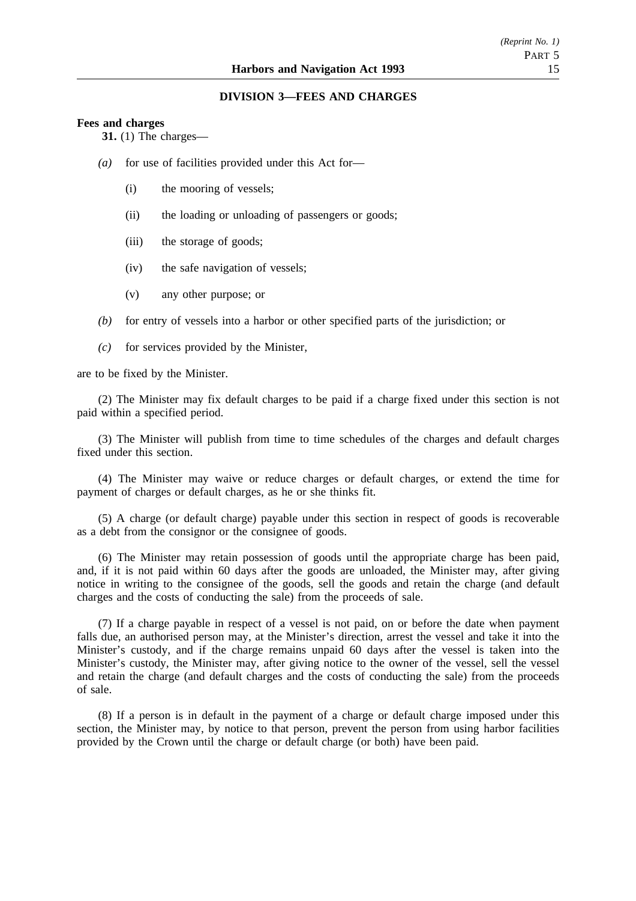### **DIVISION 3—FEES AND CHARGES**

#### **Fees and charges**

**31.** (1) The charges—

- *(a)* for use of facilities provided under this Act for—
	- (i) the mooring of vessels;
	- (ii) the loading or unloading of passengers or goods;
	- (iii) the storage of goods;
	- (iv) the safe navigation of vessels;
	- (v) any other purpose; or
- *(b)* for entry of vessels into a harbor or other specified parts of the jurisdiction; or
- *(c)* for services provided by the Minister,

are to be fixed by the Minister.

(2) The Minister may fix default charges to be paid if a charge fixed under this section is not paid within a specified period.

(3) The Minister will publish from time to time schedules of the charges and default charges fixed under this section.

(4) The Minister may waive or reduce charges or default charges, or extend the time for payment of charges or default charges, as he or she thinks fit.

(5) A charge (or default charge) payable under this section in respect of goods is recoverable as a debt from the consignor or the consignee of goods.

(6) The Minister may retain possession of goods until the appropriate charge has been paid, and, if it is not paid within 60 days after the goods are unloaded, the Minister may, after giving notice in writing to the consignee of the goods, sell the goods and retain the charge (and default charges and the costs of conducting the sale) from the proceeds of sale.

(7) If a charge payable in respect of a vessel is not paid, on or before the date when payment falls due, an authorised person may, at the Minister's direction, arrest the vessel and take it into the Minister's custody, and if the charge remains unpaid 60 days after the vessel is taken into the Minister's custody, the Minister may, after giving notice to the owner of the vessel, sell the vessel and retain the charge (and default charges and the costs of conducting the sale) from the proceeds of sale.

(8) If a person is in default in the payment of a charge or default charge imposed under this section, the Minister may, by notice to that person, prevent the person from using harbor facilities provided by the Crown until the charge or default charge (or both) have been paid.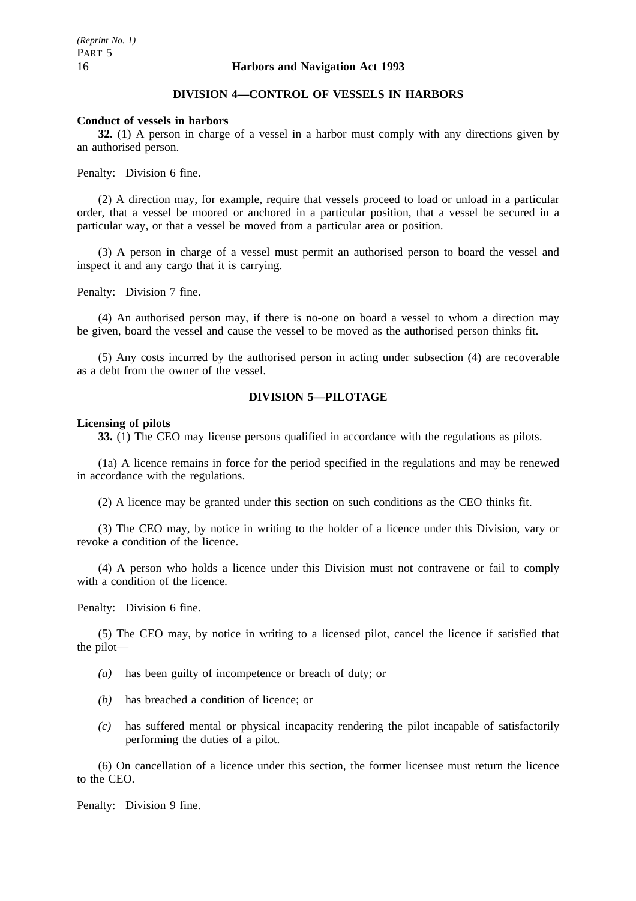### **DIVISION 4—CONTROL OF VESSELS IN HARBORS**

#### **Conduct of vessels in harbors**

**32.** (1) A person in charge of a vessel in a harbor must comply with any directions given by an authorised person.

Penalty: Division 6 fine.

(2) A direction may, for example, require that vessels proceed to load or unload in a particular order, that a vessel be moored or anchored in a particular position, that a vessel be secured in a particular way, or that a vessel be moved from a particular area or position.

(3) A person in charge of a vessel must permit an authorised person to board the vessel and inspect it and any cargo that it is carrying.

Penalty: Division 7 fine.

(4) An authorised person may, if there is no-one on board a vessel to whom a direction may be given, board the vessel and cause the vessel to be moved as the authorised person thinks fit.

(5) Any costs incurred by the authorised person in acting under subsection (4) are recoverable as a debt from the owner of the vessel.

### **DIVISION 5—PILOTAGE**

#### **Licensing of pilots**

**33.** (1) The CEO may license persons qualified in accordance with the regulations as pilots.

(1a) A licence remains in force for the period specified in the regulations and may be renewed in accordance with the regulations.

(2) A licence may be granted under this section on such conditions as the CEO thinks fit.

(3) The CEO may, by notice in writing to the holder of a licence under this Division, vary or revoke a condition of the licence.

(4) A person who holds a licence under this Division must not contravene or fail to comply with a condition of the licence.

Penalty: Division 6 fine.

(5) The CEO may, by notice in writing to a licensed pilot, cancel the licence if satisfied that the pilot—

- *(a)* has been guilty of incompetence or breach of duty; or
- *(b)* has breached a condition of licence; or
- *(c)* has suffered mental or physical incapacity rendering the pilot incapable of satisfactorily performing the duties of a pilot.

(6) On cancellation of a licence under this section, the former licensee must return the licence to the CEO.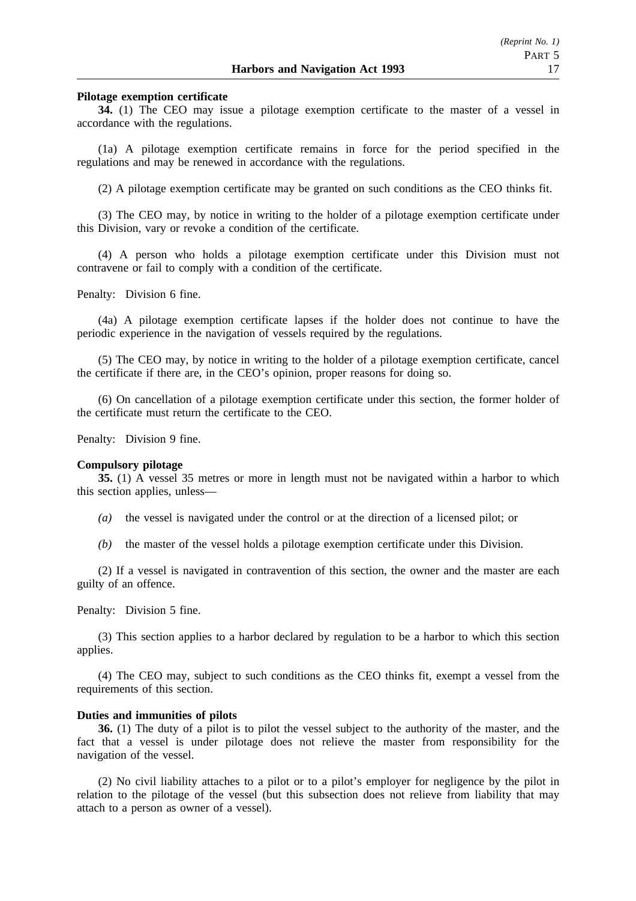### **Pilotage exemption certificate**

**34.** (1) The CEO may issue a pilotage exemption certificate to the master of a vessel in accordance with the regulations.

(1a) A pilotage exemption certificate remains in force for the period specified in the regulations and may be renewed in accordance with the regulations.

(2) A pilotage exemption certificate may be granted on such conditions as the CEO thinks fit.

(3) The CEO may, by notice in writing to the holder of a pilotage exemption certificate under this Division, vary or revoke a condition of the certificate.

(4) A person who holds a pilotage exemption certificate under this Division must not contravene or fail to comply with a condition of the certificate.

Penalty: Division 6 fine.

(4a) A pilotage exemption certificate lapses if the holder does not continue to have the periodic experience in the navigation of vessels required by the regulations.

(5) The CEO may, by notice in writing to the holder of a pilotage exemption certificate, cancel the certificate if there are, in the CEO's opinion, proper reasons for doing so.

(6) On cancellation of a pilotage exemption certificate under this section, the former holder of the certificate must return the certificate to the CEO.

Penalty: Division 9 fine.

#### **Compulsory pilotage**

**35.** (1) A vessel 35 metres or more in length must not be navigated within a harbor to which this section applies, unless—

- *(a)* the vessel is navigated under the control or at the direction of a licensed pilot; or
- *(b)* the master of the vessel holds a pilotage exemption certificate under this Division.

(2) If a vessel is navigated in contravention of this section, the owner and the master are each guilty of an offence.

Penalty: Division 5 fine.

(3) This section applies to a harbor declared by regulation to be a harbor to which this section applies.

(4) The CEO may, subject to such conditions as the CEO thinks fit, exempt a vessel from the requirements of this section.

### **Duties and immunities of pilots**

**36.** (1) The duty of a pilot is to pilot the vessel subject to the authority of the master, and the fact that a vessel is under pilotage does not relieve the master from responsibility for the navigation of the vessel.

(2) No civil liability attaches to a pilot or to a pilot's employer for negligence by the pilot in relation to the pilotage of the vessel (but this subsection does not relieve from liability that may attach to a person as owner of a vessel).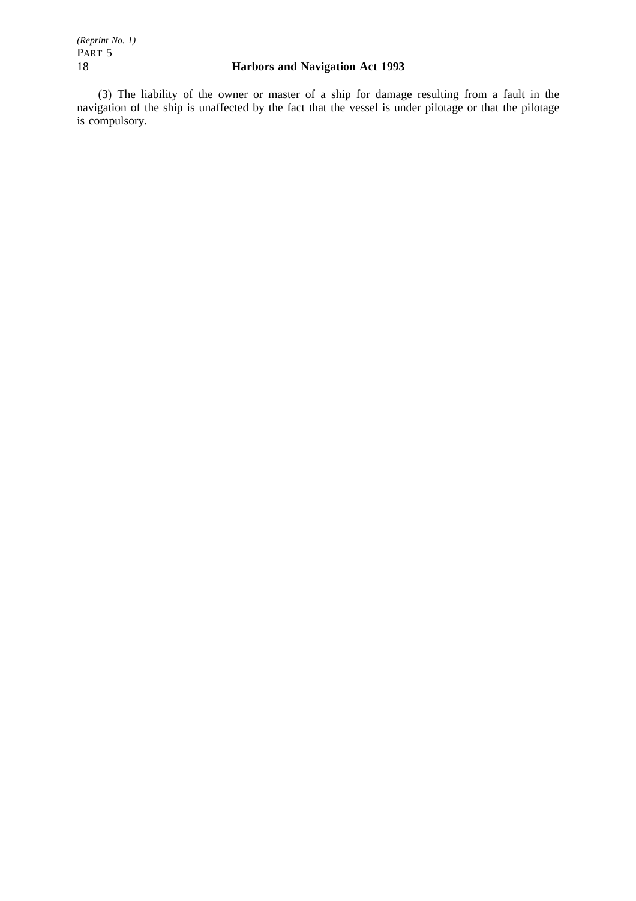(3) The liability of the owner or master of a ship for damage resulting from a fault in the navigation of the ship is unaffected by the fact that the vessel is under pilotage or that the pilotage is compulsory.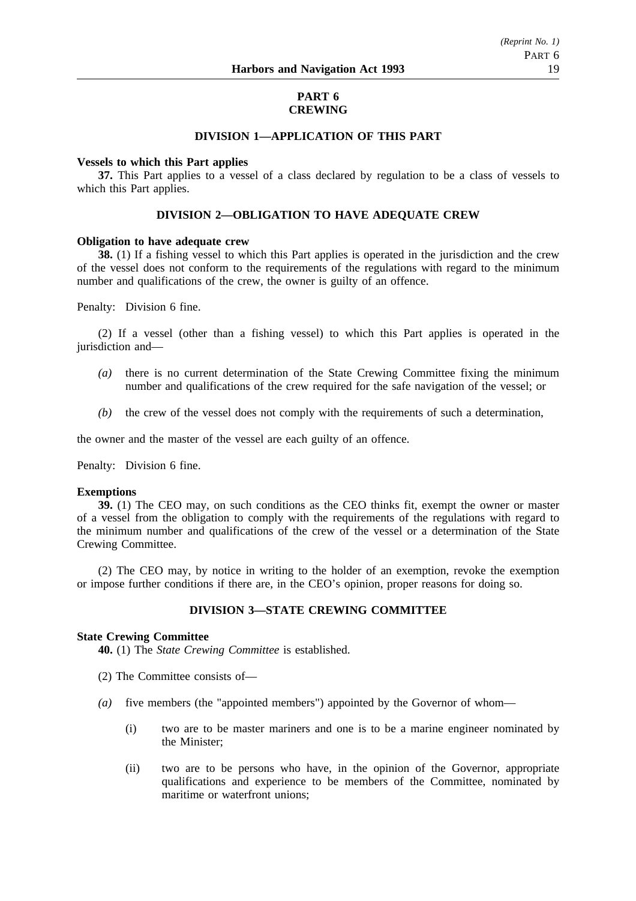### **PART 6 CREWING**

### **DIVISION 1—APPLICATION OF THIS PART**

#### **Vessels to which this Part applies**

**37.** This Part applies to a vessel of a class declared by regulation to be a class of vessels to which this Part applies.

### **DIVISION 2—OBLIGATION TO HAVE ADEQUATE CREW**

### **Obligation to have adequate crew**

**38.** (1) If a fishing vessel to which this Part applies is operated in the jurisdiction and the crew of the vessel does not conform to the requirements of the regulations with regard to the minimum number and qualifications of the crew, the owner is guilty of an offence.

Penalty: Division 6 fine.

(2) If a vessel (other than a fishing vessel) to which this Part applies is operated in the jurisdiction and—

- *(a)* there is no current determination of the State Crewing Committee fixing the minimum number and qualifications of the crew required for the safe navigation of the vessel; or
- *(b)* the crew of the vessel does not comply with the requirements of such a determination,

the owner and the master of the vessel are each guilty of an offence.

Penalty: Division 6 fine.

#### **Exemptions**

**39.** (1) The CEO may, on such conditions as the CEO thinks fit, exempt the owner or master of a vessel from the obligation to comply with the requirements of the regulations with regard to the minimum number and qualifications of the crew of the vessel or a determination of the State Crewing Committee.

(2) The CEO may, by notice in writing to the holder of an exemption, revoke the exemption or impose further conditions if there are, in the CEO's opinion, proper reasons for doing so.

### **DIVISION 3—STATE CREWING COMMITTEE**

#### **State Crewing Committee**

**40.** (1) The *State Crewing Committee* is established.

- (2) The Committee consists of—
- *(a)* five members (the "appointed members") appointed by the Governor of whom—
	- (i) two are to be master mariners and one is to be a marine engineer nominated by the Minister;
	- (ii) two are to be persons who have, in the opinion of the Governor, appropriate qualifications and experience to be members of the Committee, nominated by maritime or waterfront unions;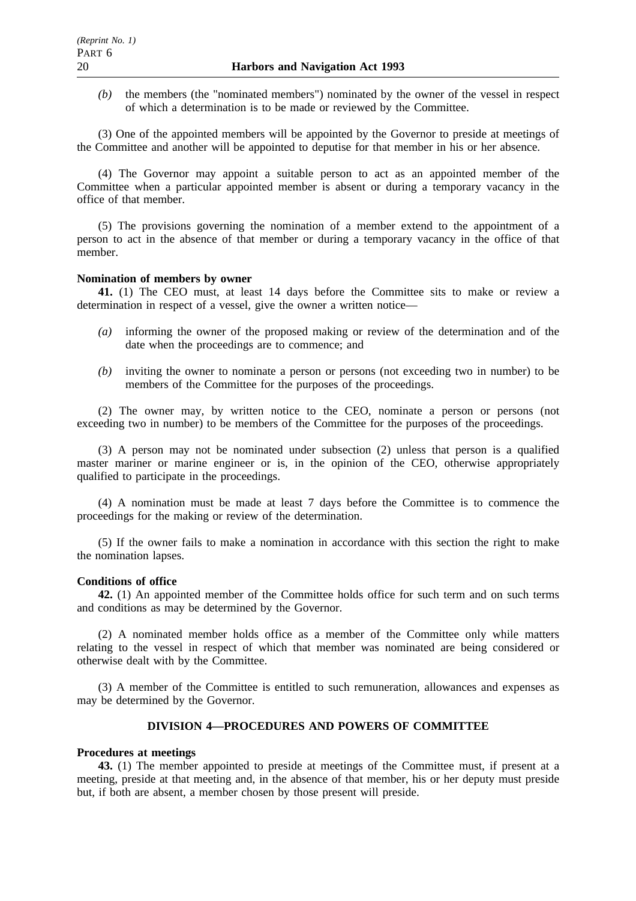*(b)* the members (the "nominated members") nominated by the owner of the vessel in respect of which a determination is to be made or reviewed by the Committee.

(3) One of the appointed members will be appointed by the Governor to preside at meetings of the Committee and another will be appointed to deputise for that member in his or her absence.

(4) The Governor may appoint a suitable person to act as an appointed member of the Committee when a particular appointed member is absent or during a temporary vacancy in the office of that member.

(5) The provisions governing the nomination of a member extend to the appointment of a person to act in the absence of that member or during a temporary vacancy in the office of that member.

#### **Nomination of members by owner**

**41.** (1) The CEO must, at least 14 days before the Committee sits to make or review a determination in respect of a vessel, give the owner a written notice—

- *(a)* informing the owner of the proposed making or review of the determination and of the date when the proceedings are to commence; and
- *(b)* inviting the owner to nominate a person or persons (not exceeding two in number) to be members of the Committee for the purposes of the proceedings.

(2) The owner may, by written notice to the CEO, nominate a person or persons (not exceeding two in number) to be members of the Committee for the purposes of the proceedings.

(3) A person may not be nominated under subsection (2) unless that person is a qualified master mariner or marine engineer or is, in the opinion of the CEO, otherwise appropriately qualified to participate in the proceedings.

(4) A nomination must be made at least 7 days before the Committee is to commence the proceedings for the making or review of the determination.

(5) If the owner fails to make a nomination in accordance with this section the right to make the nomination lapses.

#### **Conditions of office**

**42.** (1) An appointed member of the Committee holds office for such term and on such terms and conditions as may be determined by the Governor.

(2) A nominated member holds office as a member of the Committee only while matters relating to the vessel in respect of which that member was nominated are being considered or otherwise dealt with by the Committee.

(3) A member of the Committee is entitled to such remuneration, allowances and expenses as may be determined by the Governor.

### **DIVISION 4—PROCEDURES AND POWERS OF COMMITTEE**

### **Procedures at meetings**

**43.** (1) The member appointed to preside at meetings of the Committee must, if present at a meeting, preside at that meeting and, in the absence of that member, his or her deputy must preside but, if both are absent, a member chosen by those present will preside.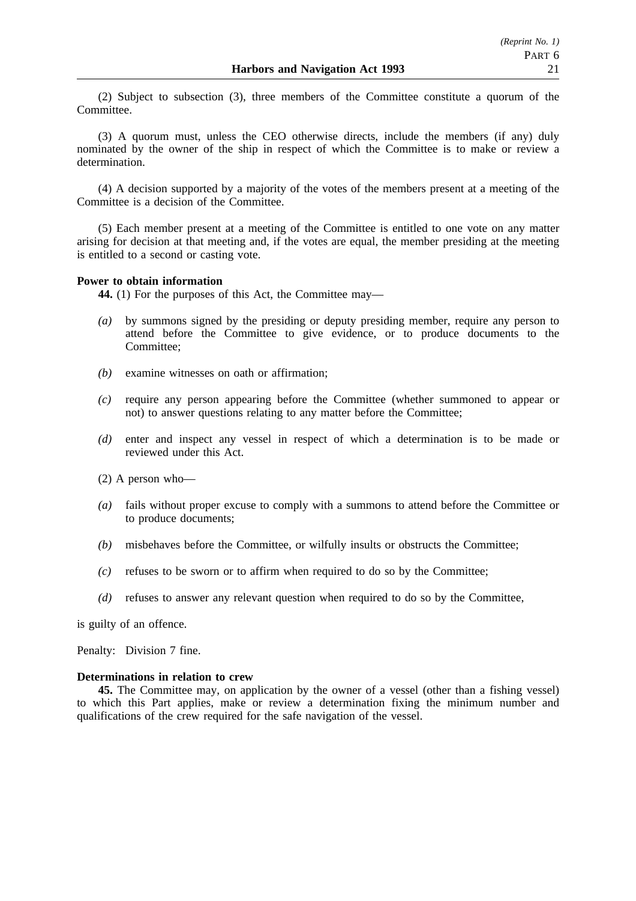(2) Subject to subsection (3), three members of the Committee constitute a quorum of the Committee.

(3) A quorum must, unless the CEO otherwise directs, include the members (if any) duly nominated by the owner of the ship in respect of which the Committee is to make or review a determination.

(4) A decision supported by a majority of the votes of the members present at a meeting of the Committee is a decision of the Committee.

(5) Each member present at a meeting of the Committee is entitled to one vote on any matter arising for decision at that meeting and, if the votes are equal, the member presiding at the meeting is entitled to a second or casting vote.

### **Power to obtain information**

**44.** (1) For the purposes of this Act, the Committee may—

- *(a)* by summons signed by the presiding or deputy presiding member, require any person to attend before the Committee to give evidence, or to produce documents to the Committee;
- *(b)* examine witnesses on oath or affirmation;
- *(c)* require any person appearing before the Committee (whether summoned to appear or not) to answer questions relating to any matter before the Committee;
- *(d)* enter and inspect any vessel in respect of which a determination is to be made or reviewed under this Act.
- (2) A person who—
- *(a)* fails without proper excuse to comply with a summons to attend before the Committee or to produce documents;
- *(b)* misbehaves before the Committee, or wilfully insults or obstructs the Committee;
- *(c)* refuses to be sworn or to affirm when required to do so by the Committee;
- *(d)* refuses to answer any relevant question when required to do so by the Committee,

is guilty of an offence.

Penalty: Division 7 fine.

### **Determinations in relation to crew**

**45.** The Committee may, on application by the owner of a vessel (other than a fishing vessel) to which this Part applies, make or review a determination fixing the minimum number and qualifications of the crew required for the safe navigation of the vessel.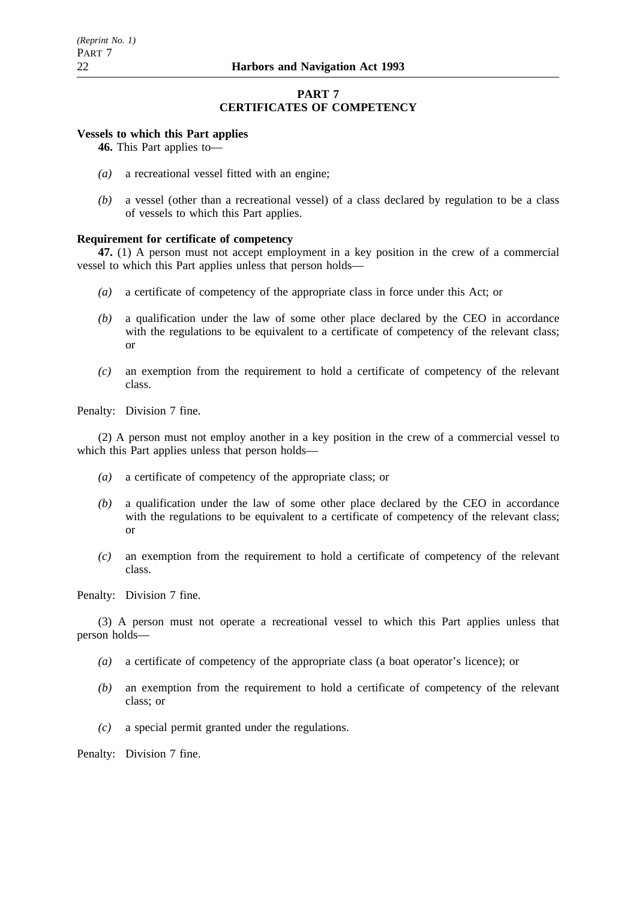### **PART 7 CERTIFICATES OF COMPETENCY**

### **Vessels to which this Part applies**

**46.** This Part applies to—

- *(a)* a recreational vessel fitted with an engine;
- *(b)* a vessel (other than a recreational vessel) of a class declared by regulation to be a class of vessels to which this Part applies.

### **Requirement for certificate of competency**

**47.** (1) A person must not accept employment in a key position in the crew of a commercial vessel to which this Part applies unless that person holds—

- *(a)* a certificate of competency of the appropriate class in force under this Act; or
- *(b)* a qualification under the law of some other place declared by the CEO in accordance with the regulations to be equivalent to a certificate of competency of the relevant class; or
- *(c)* an exemption from the requirement to hold a certificate of competency of the relevant class.

Penalty: Division 7 fine.

(2) A person must not employ another in a key position in the crew of a commercial vessel to which this Part applies unless that person holds—

- *(a)* a certificate of competency of the appropriate class; or
- *(b)* a qualification under the law of some other place declared by the CEO in accordance with the regulations to be equivalent to a certificate of competency of the relevant class; or
- *(c)* an exemption from the requirement to hold a certificate of competency of the relevant class.

Penalty: Division 7 fine.

(3) A person must not operate a recreational vessel to which this Part applies unless that person holds—

- *(a)* a certificate of competency of the appropriate class (a boat operator's licence); or
- *(b)* an exemption from the requirement to hold a certificate of competency of the relevant class; or
- *(c)* a special permit granted under the regulations.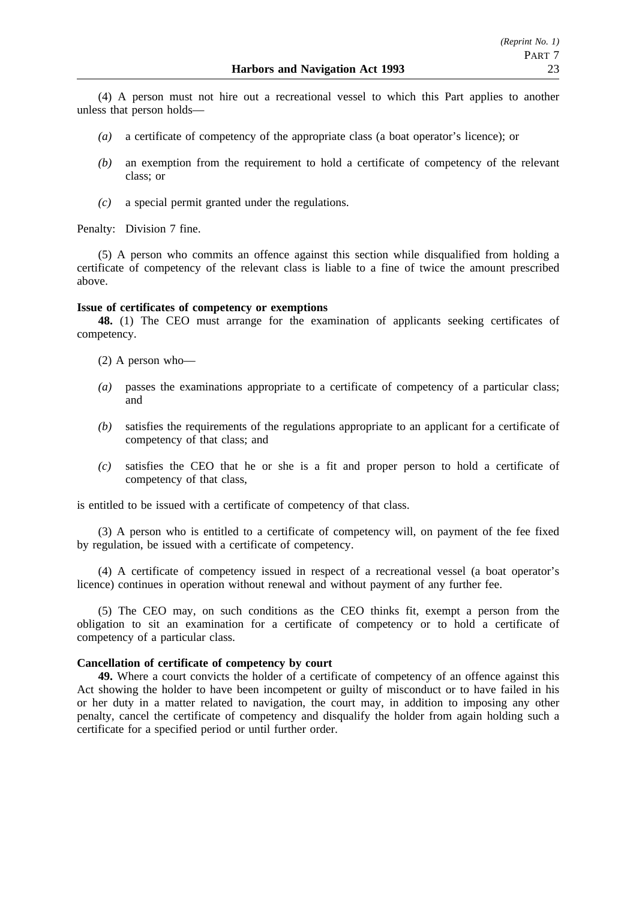(4) A person must not hire out a recreational vessel to which this Part applies to another unless that person holds—

- *(a)* a certificate of competency of the appropriate class (a boat operator's licence); or
- *(b)* an exemption from the requirement to hold a certificate of competency of the relevant class; or
- *(c)* a special permit granted under the regulations.

Penalty: Division 7 fine.

(5) A person who commits an offence against this section while disqualified from holding a certificate of competency of the relevant class is liable to a fine of twice the amount prescribed above.

#### **Issue of certificates of competency or exemptions**

**48.** (1) The CEO must arrange for the examination of applicants seeking certificates of competency.

- (2) A person who—
- *(a)* passes the examinations appropriate to a certificate of competency of a particular class; and
- *(b)* satisfies the requirements of the regulations appropriate to an applicant for a certificate of competency of that class; and
- *(c)* satisfies the CEO that he or she is a fit and proper person to hold a certificate of competency of that class,

is entitled to be issued with a certificate of competency of that class.

(3) A person who is entitled to a certificate of competency will, on payment of the fee fixed by regulation, be issued with a certificate of competency.

(4) A certificate of competency issued in respect of a recreational vessel (a boat operator's licence) continues in operation without renewal and without payment of any further fee.

(5) The CEO may, on such conditions as the CEO thinks fit, exempt a person from the obligation to sit an examination for a certificate of competency or to hold a certificate of competency of a particular class.

### **Cancellation of certificate of competency by court**

**49.** Where a court convicts the holder of a certificate of competency of an offence against this Act showing the holder to have been incompetent or guilty of misconduct or to have failed in his or her duty in a matter related to navigation, the court may, in addition to imposing any other penalty, cancel the certificate of competency and disqualify the holder from again holding such a certificate for a specified period or until further order.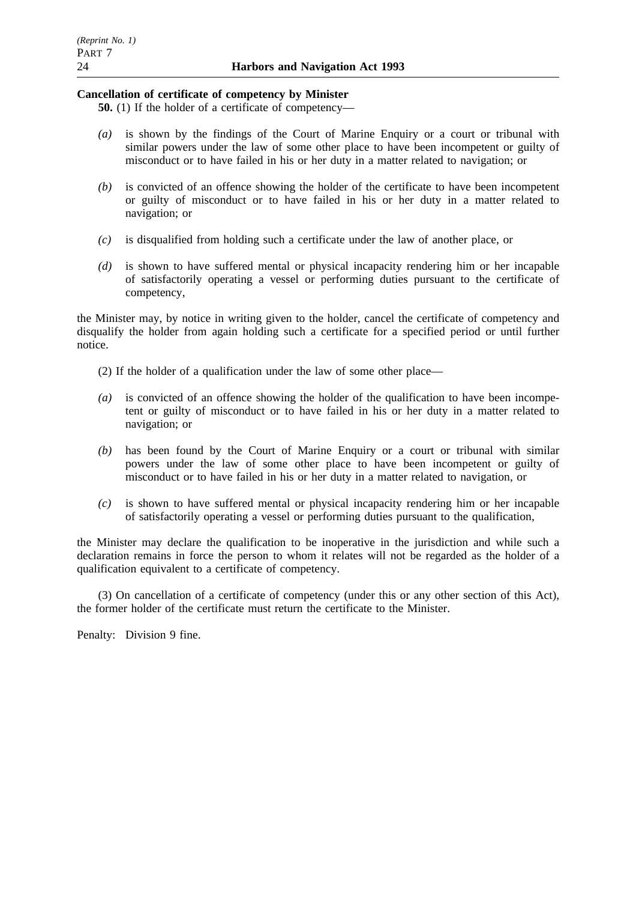### **Cancellation of certificate of competency by Minister**

**50.** (1) If the holder of a certificate of competency—

- *(a)* is shown by the findings of the Court of Marine Enquiry or a court or tribunal with similar powers under the law of some other place to have been incompetent or guilty of misconduct or to have failed in his or her duty in a matter related to navigation; or
- *(b)* is convicted of an offence showing the holder of the certificate to have been incompetent or guilty of misconduct or to have failed in his or her duty in a matter related to navigation; or
- *(c)* is disqualified from holding such a certificate under the law of another place, or
- *(d)* is shown to have suffered mental or physical incapacity rendering him or her incapable of satisfactorily operating a vessel or performing duties pursuant to the certificate of competency,

the Minister may, by notice in writing given to the holder, cancel the certificate of competency and disqualify the holder from again holding such a certificate for a specified period or until further notice.

- (2) If the holder of a qualification under the law of some other place—
- *(a)* is convicted of an offence showing the holder of the qualification to have been incompetent or guilty of misconduct or to have failed in his or her duty in a matter related to navigation; or
- *(b)* has been found by the Court of Marine Enquiry or a court or tribunal with similar powers under the law of some other place to have been incompetent or guilty of misconduct or to have failed in his or her duty in a matter related to navigation, or
- *(c)* is shown to have suffered mental or physical incapacity rendering him or her incapable of satisfactorily operating a vessel or performing duties pursuant to the qualification,

the Minister may declare the qualification to be inoperative in the jurisdiction and while such a declaration remains in force the person to whom it relates will not be regarded as the holder of a qualification equivalent to a certificate of competency.

(3) On cancellation of a certificate of competency (under this or any other section of this Act), the former holder of the certificate must return the certificate to the Minister.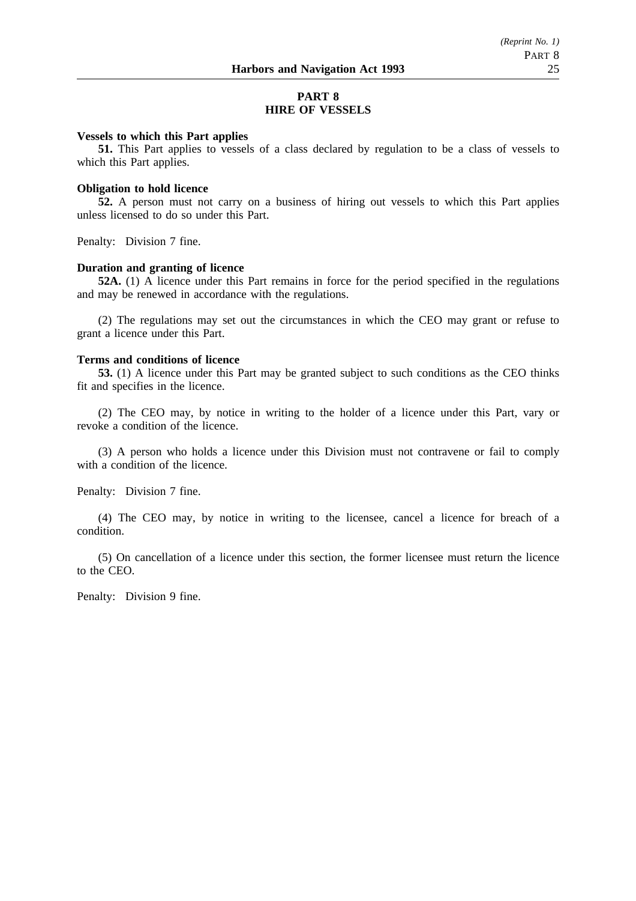### **PART 8 HIRE OF VESSELS**

#### **Vessels to which this Part applies**

**51.** This Part applies to vessels of a class declared by regulation to be a class of vessels to which this Part applies.

#### **Obligation to hold licence**

**52.** A person must not carry on a business of hiring out vessels to which this Part applies unless licensed to do so under this Part.

Penalty: Division 7 fine.

#### **Duration and granting of licence**

**52A.** (1) A licence under this Part remains in force for the period specified in the regulations and may be renewed in accordance with the regulations.

(2) The regulations may set out the circumstances in which the CEO may grant or refuse to grant a licence under this Part.

#### **Terms and conditions of licence**

**53.** (1) A licence under this Part may be granted subject to such conditions as the CEO thinks fit and specifies in the licence.

(2) The CEO may, by notice in writing to the holder of a licence under this Part, vary or revoke a condition of the licence.

(3) A person who holds a licence under this Division must not contravene or fail to comply with a condition of the licence.

Penalty: Division 7 fine.

(4) The CEO may, by notice in writing to the licensee, cancel a licence for breach of a condition.

(5) On cancellation of a licence under this section, the former licensee must return the licence to the CEO.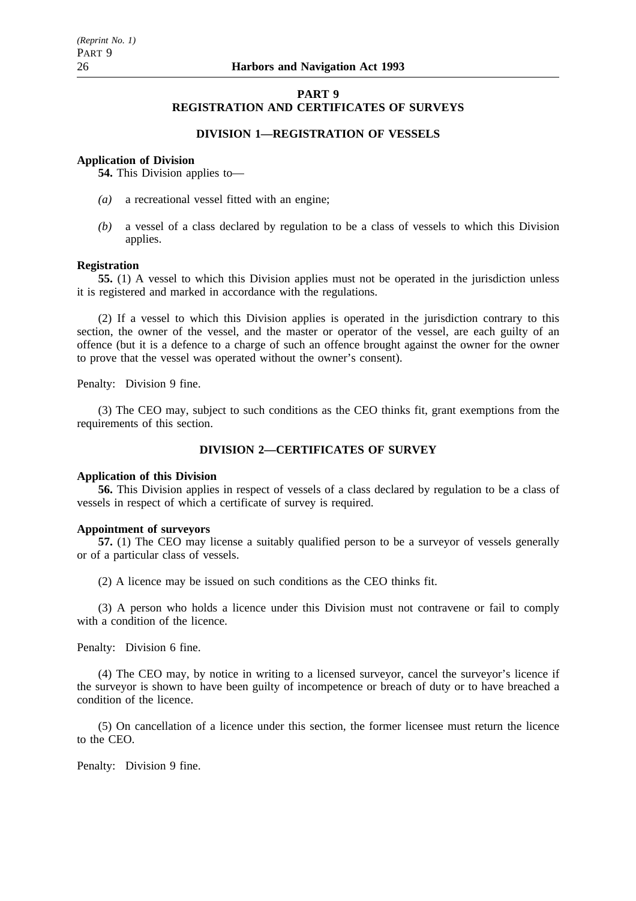### **PART 9 REGISTRATION AND CERTIFICATES OF SURVEYS**

### **DIVISION 1—REGISTRATION OF VESSELS**

#### **Application of Division**

**54.** This Division applies to—

- *(a)* a recreational vessel fitted with an engine;
- *(b)* a vessel of a class declared by regulation to be a class of vessels to which this Division applies.

#### **Registration**

**55.** (1) A vessel to which this Division applies must not be operated in the jurisdiction unless it is registered and marked in accordance with the regulations.

(2) If a vessel to which this Division applies is operated in the jurisdiction contrary to this section, the owner of the vessel, and the master or operator of the vessel, are each guilty of an offence (but it is a defence to a charge of such an offence brought against the owner for the owner to prove that the vessel was operated without the owner's consent).

Penalty: Division 9 fine.

(3) The CEO may, subject to such conditions as the CEO thinks fit, grant exemptions from the requirements of this section.

### **DIVISION 2—CERTIFICATES OF SURVEY**

#### **Application of this Division**

**56.** This Division applies in respect of vessels of a class declared by regulation to be a class of vessels in respect of which a certificate of survey is required.

#### **Appointment of surveyors**

**57.** (1) The CEO may license a suitably qualified person to be a surveyor of vessels generally or of a particular class of vessels.

(2) A licence may be issued on such conditions as the CEO thinks fit.

(3) A person who holds a licence under this Division must not contravene or fail to comply with a condition of the licence.

Penalty: Division 6 fine.

(4) The CEO may, by notice in writing to a licensed surveyor, cancel the surveyor's licence if the surveyor is shown to have been guilty of incompetence or breach of duty or to have breached a condition of the licence.

(5) On cancellation of a licence under this section, the former licensee must return the licence to the CEO.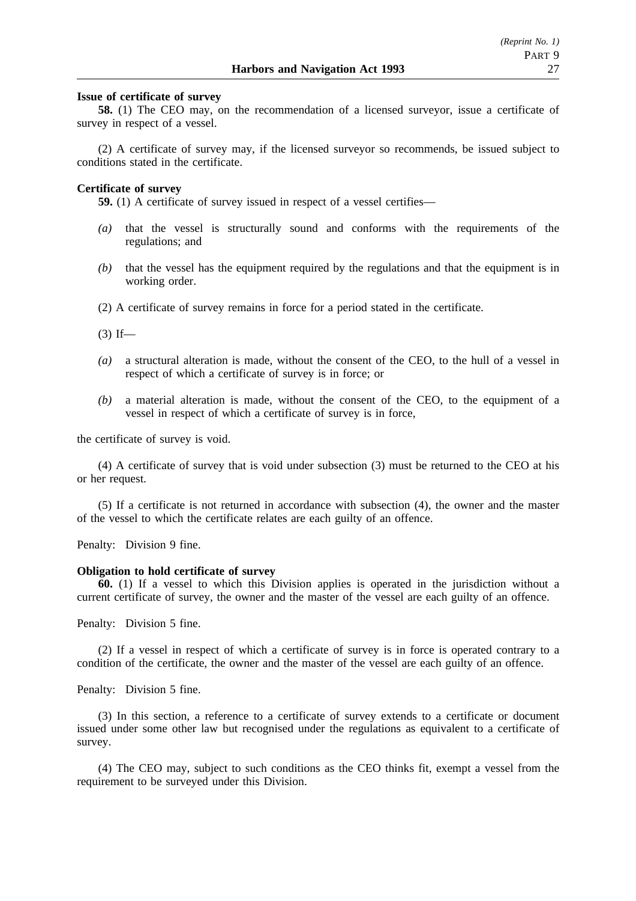#### **Issue of certificate of survey**

**58.** (1) The CEO may, on the recommendation of a licensed surveyor, issue a certificate of survey in respect of a vessel.

(2) A certificate of survey may, if the licensed surveyor so recommends, be issued subject to conditions stated in the certificate.

#### **Certificate of survey**

**59.** (1) A certificate of survey issued in respect of a vessel certifies—

- *(a)* that the vessel is structurally sound and conforms with the requirements of the regulations; and
- *(b)* that the vessel has the equipment required by the regulations and that the equipment is in working order.
- (2) A certificate of survey remains in force for a period stated in the certificate.

 $(3)$  If—

- *(a)* a structural alteration is made, without the consent of the CEO, to the hull of a vessel in respect of which a certificate of survey is in force; or
- *(b)* a material alteration is made, without the consent of the CEO, to the equipment of a vessel in respect of which a certificate of survey is in force,

the certificate of survey is void.

(4) A certificate of survey that is void under subsection (3) must be returned to the CEO at his or her request.

(5) If a certificate is not returned in accordance with subsection (4), the owner and the master of the vessel to which the certificate relates are each guilty of an offence.

Penalty: Division 9 fine.

#### **Obligation to hold certificate of survey**

**60.** (1) If a vessel to which this Division applies is operated in the jurisdiction without a current certificate of survey, the owner and the master of the vessel are each guilty of an offence.

Penalty: Division 5 fine.

(2) If a vessel in respect of which a certificate of survey is in force is operated contrary to a condition of the certificate, the owner and the master of the vessel are each guilty of an offence.

Penalty: Division 5 fine.

(3) In this section, a reference to a certificate of survey extends to a certificate or document issued under some other law but recognised under the regulations as equivalent to a certificate of survey.

(4) The CEO may, subject to such conditions as the CEO thinks fit, exempt a vessel from the requirement to be surveyed under this Division.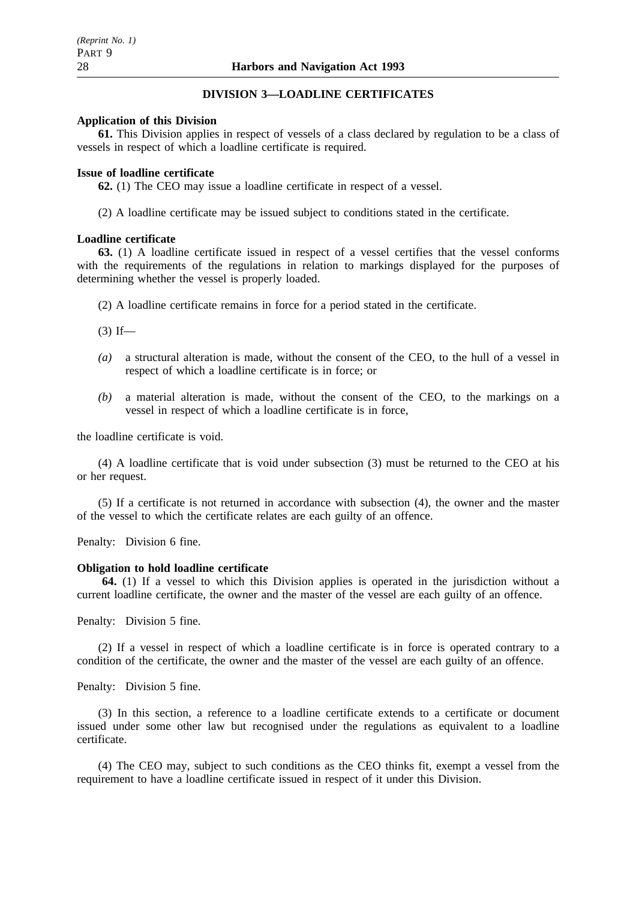### **DIVISION 3—LOADLINE CERTIFICATES**

### **Application of this Division**

**61.** This Division applies in respect of vessels of a class declared by regulation to be a class of vessels in respect of which a loadline certificate is required.

### **Issue of loadline certificate**

**62.** (1) The CEO may issue a loadline certificate in respect of a vessel.

(2) A loadline certificate may be issued subject to conditions stated in the certificate.

### **Loadline certificate**

**63.** (1) A loadline certificate issued in respect of a vessel certifies that the vessel conforms with the requirements of the regulations in relation to markings displayed for the purposes of determining whether the vessel is properly loaded.

(2) A loadline certificate remains in force for a period stated in the certificate.

 $(3)$  If—

- *(a)* a structural alteration is made, without the consent of the CEO, to the hull of a vessel in respect of which a loadline certificate is in force; or
- *(b)* a material alteration is made, without the consent of the CEO, to the markings on a vessel in respect of which a loadline certificate is in force,

the loadline certificate is void.

(4) A loadline certificate that is void under subsection (3) must be returned to the CEO at his or her request.

(5) If a certificate is not returned in accordance with subsection (4), the owner and the master of the vessel to which the certificate relates are each guilty of an offence.

Penalty: Division 6 fine.

### **Obligation to hold loadline certificate**

**64.** (1) If a vessel to which this Division applies is operated in the jurisdiction without a current loadline certificate, the owner and the master of the vessel are each guilty of an offence.

Penalty: Division 5 fine.

(2) If a vessel in respect of which a loadline certificate is in force is operated contrary to a condition of the certificate, the owner and the master of the vessel are each guilty of an offence.

Penalty: Division 5 fine.

(3) In this section, a reference to a loadline certificate extends to a certificate or document issued under some other law but recognised under the regulations as equivalent to a loadline certificate.

(4) The CEO may, subject to such conditions as the CEO thinks fit, exempt a vessel from the requirement to have a loadline certificate issued in respect of it under this Division.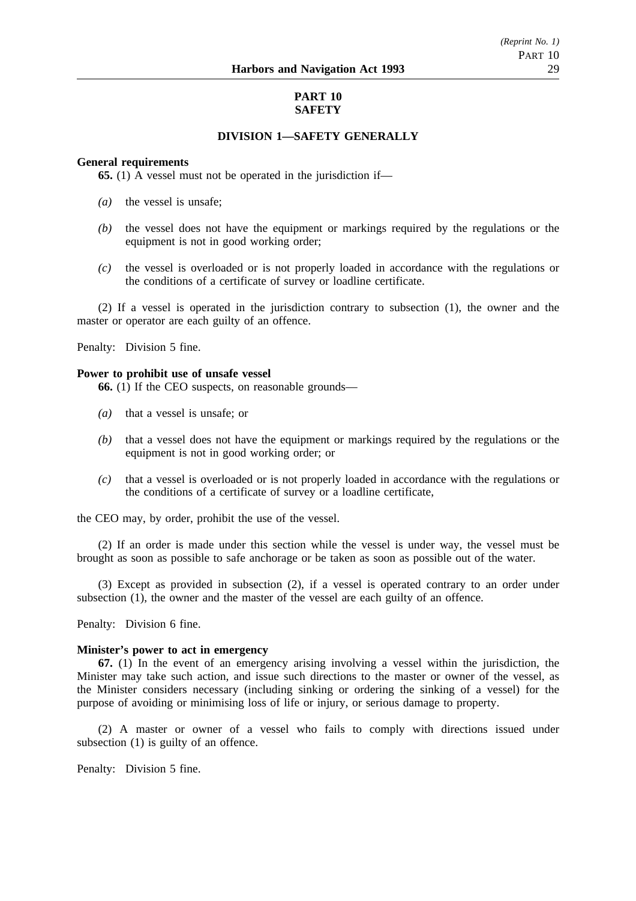### **PART 10 SAFETY**

### **DIVISION 1—SAFETY GENERALLY**

### **General requirements**

**65.** (1) A vessel must not be operated in the jurisdiction if—

- *(a)* the vessel is unsafe;
- *(b)* the vessel does not have the equipment or markings required by the regulations or the equipment is not in good working order;
- *(c)* the vessel is overloaded or is not properly loaded in accordance with the regulations or the conditions of a certificate of survey or loadline certificate.

(2) If a vessel is operated in the jurisdiction contrary to subsection (1), the owner and the master or operator are each guilty of an offence.

Penalty: Division 5 fine.

#### **Power to prohibit use of unsafe vessel**

**66.** (1) If the CEO suspects, on reasonable grounds—

- *(a)* that a vessel is unsafe; or
- *(b)* that a vessel does not have the equipment or markings required by the regulations or the equipment is not in good working order; or
- *(c)* that a vessel is overloaded or is not properly loaded in accordance with the regulations or the conditions of a certificate of survey or a loadline certificate,

the CEO may, by order, prohibit the use of the vessel.

(2) If an order is made under this section while the vessel is under way, the vessel must be brought as soon as possible to safe anchorage or be taken as soon as possible out of the water.

(3) Except as provided in subsection (2), if a vessel is operated contrary to an order under subsection (1), the owner and the master of the vessel are each guilty of an offence.

Penalty: Division 6 fine.

#### **Minister's power to act in emergency**

**67.** (1) In the event of an emergency arising involving a vessel within the jurisdiction, the Minister may take such action, and issue such directions to the master or owner of the vessel, as the Minister considers necessary (including sinking or ordering the sinking of a vessel) for the purpose of avoiding or minimising loss of life or injury, or serious damage to property.

(2) A master or owner of a vessel who fails to comply with directions issued under subsection (1) is guilty of an offence.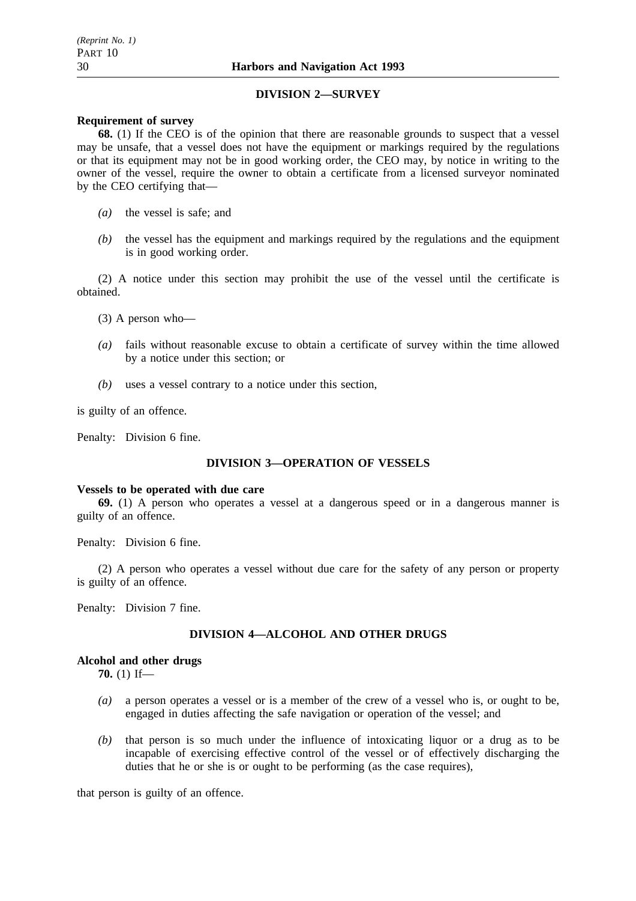### **DIVISION 2—SURVEY**

### **Requirement of survey**

**68.** (1) If the CEO is of the opinion that there are reasonable grounds to suspect that a vessel may be unsafe, that a vessel does not have the equipment or markings required by the regulations or that its equipment may not be in good working order, the CEO may, by notice in writing to the owner of the vessel, require the owner to obtain a certificate from a licensed surveyor nominated by the CEO certifying that—

- *(a)* the vessel is safe; and
- *(b)* the vessel has the equipment and markings required by the regulations and the equipment is in good working order.

(2) A notice under this section may prohibit the use of the vessel until the certificate is obtained.

- (3) A person who—
- *(a)* fails without reasonable excuse to obtain a certificate of survey within the time allowed by a notice under this section; or
- *(b)* uses a vessel contrary to a notice under this section,

is guilty of an offence.

Penalty: Division 6 fine.

### **DIVISION 3—OPERATION OF VESSELS**

#### **Vessels to be operated with due care**

**69.** (1) A person who operates a vessel at a dangerous speed or in a dangerous manner is guilty of an offence.

Penalty: Division 6 fine.

(2) A person who operates a vessel without due care for the safety of any person or property is guilty of an offence.

Penalty: Division 7 fine.

### **DIVISION 4—ALCOHOL AND OTHER DRUGS**

### **Alcohol and other drugs**

**70.** (1) If—

- *(a)* a person operates a vessel or is a member of the crew of a vessel who is, or ought to be, engaged in duties affecting the safe navigation or operation of the vessel; and
- *(b)* that person is so much under the influence of intoxicating liquor or a drug as to be incapable of exercising effective control of the vessel or of effectively discharging the duties that he or she is or ought to be performing (as the case requires),

that person is guilty of an offence.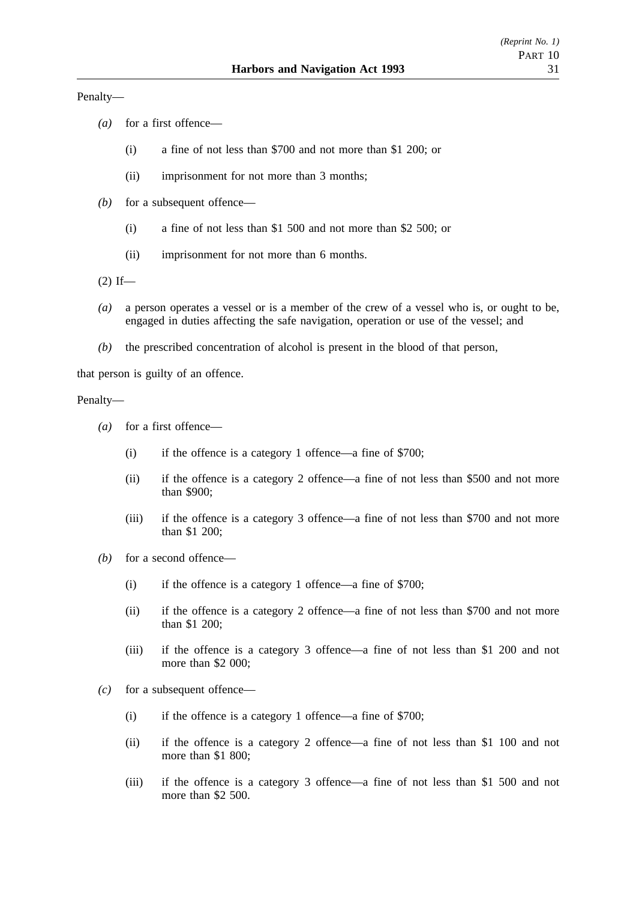Penalty—

- *(a)* for a first offence—
	- (i) a fine of not less than \$700 and not more than \$1 200; or
	- (ii) imprisonment for not more than 3 months;
- *(b)* for a subsequent offence—
	- (i) a fine of not less than \$1 500 and not more than \$2 500; or
	- (ii) imprisonment for not more than 6 months.
- $(2)$  If—
- *(a)* a person operates a vessel or is a member of the crew of a vessel who is, or ought to be, engaged in duties affecting the safe navigation, operation or use of the vessel; and
- *(b)* the prescribed concentration of alcohol is present in the blood of that person,

that person is guilty of an offence.

### Penalty—

- *(a)* for a first offence—
	- (i) if the offence is a category 1 offence—a fine of \$700;
	- (ii) if the offence is a category 2 offence—a fine of not less than \$500 and not more than \$900;
	- (iii) if the offence is a category 3 offence—a fine of not less than \$700 and not more than \$1 200;
- *(b)* for a second offence—
	- (i) if the offence is a category 1 offence—a fine of \$700;
	- (ii) if the offence is a category 2 offence—a fine of not less than \$700 and not more than \$1 200;
	- (iii) if the offence is a category 3 offence—a fine of not less than \$1 200 and not more than \$2 000:
- *(c)* for a subsequent offence—
	- (i) if the offence is a category 1 offence—a fine of \$700;
	- (ii) if the offence is a category 2 offence—a fine of not less than \$1 100 and not more than \$1 800;
	- (iii) if the offence is a category 3 offence—a fine of not less than \$1 500 and not more than \$2 500.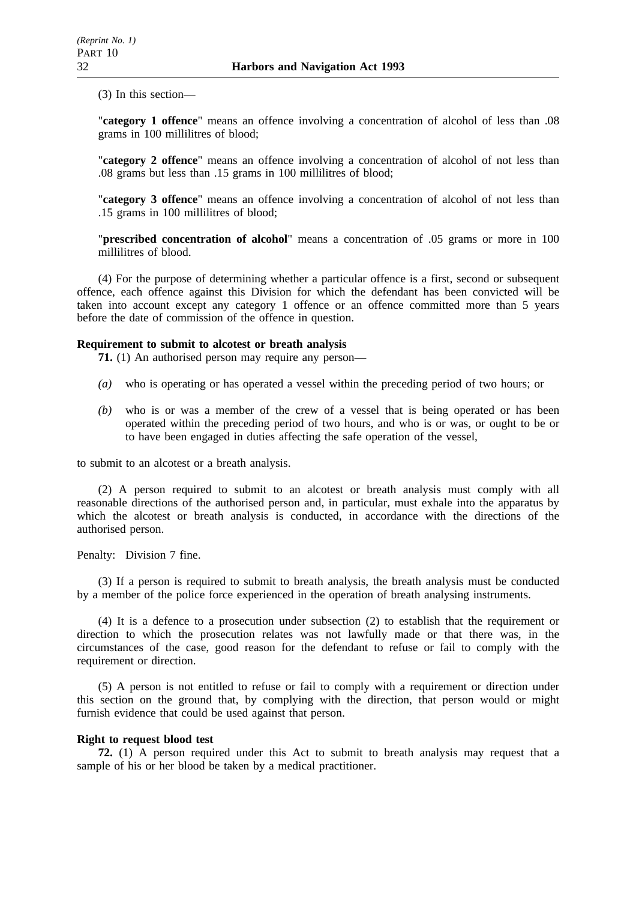(3) In this section—

"**category 1 offence**" means an offence involving a concentration of alcohol of less than .08 grams in 100 millilitres of blood;

"**category 2 offence**" means an offence involving a concentration of alcohol of not less than .08 grams but less than .15 grams in 100 millilitres of blood;

"**category 3 offence**" means an offence involving a concentration of alcohol of not less than .15 grams in 100 millilitres of blood;

"**prescribed concentration of alcohol**" means a concentration of .05 grams or more in 100 millilitres of blood.

(4) For the purpose of determining whether a particular offence is a first, second or subsequent offence, each offence against this Division for which the defendant has been convicted will be taken into account except any category 1 offence or an offence committed more than 5 years before the date of commission of the offence in question.

### **Requirement to submit to alcotest or breath analysis**

**71.** (1) An authorised person may require any person—

- *(a)* who is operating or has operated a vessel within the preceding period of two hours; or
- *(b)* who is or was a member of the crew of a vessel that is being operated or has been operated within the preceding period of two hours, and who is or was, or ought to be or to have been engaged in duties affecting the safe operation of the vessel,

to submit to an alcotest or a breath analysis.

(2) A person required to submit to an alcotest or breath analysis must comply with all reasonable directions of the authorised person and, in particular, must exhale into the apparatus by which the alcotest or breath analysis is conducted, in accordance with the directions of the authorised person.

Penalty: Division 7 fine.

(3) If a person is required to submit to breath analysis, the breath analysis must be conducted by a member of the police force experienced in the operation of breath analysing instruments.

(4) It is a defence to a prosecution under subsection (2) to establish that the requirement or direction to which the prosecution relates was not lawfully made or that there was, in the circumstances of the case, good reason for the defendant to refuse or fail to comply with the requirement or direction.

(5) A person is not entitled to refuse or fail to comply with a requirement or direction under this section on the ground that, by complying with the direction, that person would or might furnish evidence that could be used against that person.

### **Right to request blood test**

**72.** (1) A person required under this Act to submit to breath analysis may request that a sample of his or her blood be taken by a medical practitioner.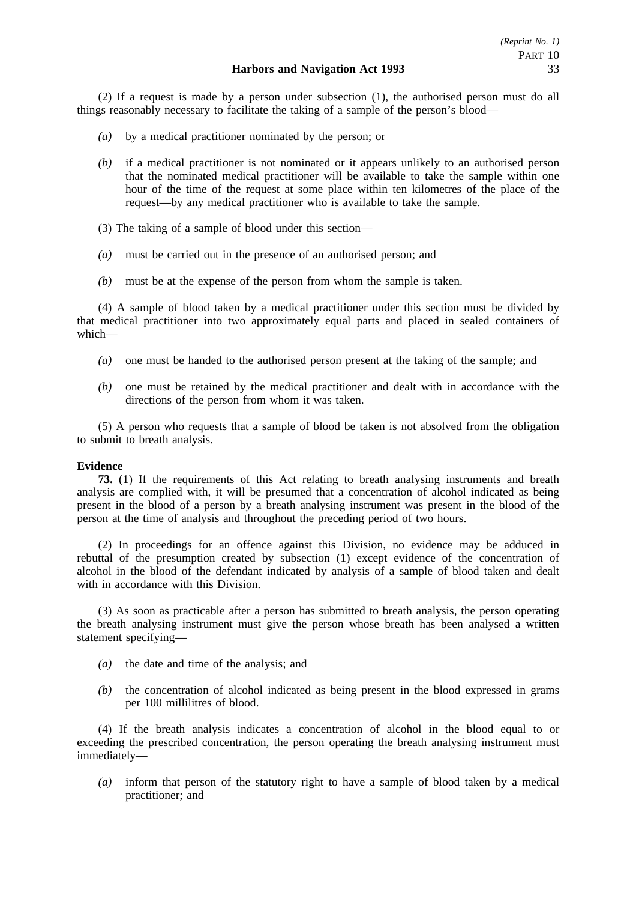(2) If a request is made by a person under subsection (1), the authorised person must do all things reasonably necessary to facilitate the taking of a sample of the person's blood—

- *(a)* by a medical practitioner nominated by the person; or
- *(b)* if a medical practitioner is not nominated or it appears unlikely to an authorised person that the nominated medical practitioner will be available to take the sample within one hour of the time of the request at some place within ten kilometres of the place of the request—by any medical practitioner who is available to take the sample.
- (3) The taking of a sample of blood under this section—
- *(a)* must be carried out in the presence of an authorised person; and
- *(b)* must be at the expense of the person from whom the sample is taken.

(4) A sample of blood taken by a medical practitioner under this section must be divided by that medical practitioner into two approximately equal parts and placed in sealed containers of which—

- *(a)* one must be handed to the authorised person present at the taking of the sample; and
- *(b)* one must be retained by the medical practitioner and dealt with in accordance with the directions of the person from whom it was taken.

(5) A person who requests that a sample of blood be taken is not absolved from the obligation to submit to breath analysis.

### **Evidence**

**73.** (1) If the requirements of this Act relating to breath analysing instruments and breath analysis are complied with, it will be presumed that a concentration of alcohol indicated as being present in the blood of a person by a breath analysing instrument was present in the blood of the person at the time of analysis and throughout the preceding period of two hours.

(2) In proceedings for an offence against this Division, no evidence may be adduced in rebuttal of the presumption created by subsection (1) except evidence of the concentration of alcohol in the blood of the defendant indicated by analysis of a sample of blood taken and dealt with in accordance with this Division.

(3) As soon as practicable after a person has submitted to breath analysis, the person operating the breath analysing instrument must give the person whose breath has been analysed a written statement specifying—

- *(a)* the date and time of the analysis; and
- *(b)* the concentration of alcohol indicated as being present in the blood expressed in grams per 100 millilitres of blood.

(4) If the breath analysis indicates a concentration of alcohol in the blood equal to or exceeding the prescribed concentration, the person operating the breath analysing instrument must immediately—

*(a)* inform that person of the statutory right to have a sample of blood taken by a medical practitioner; and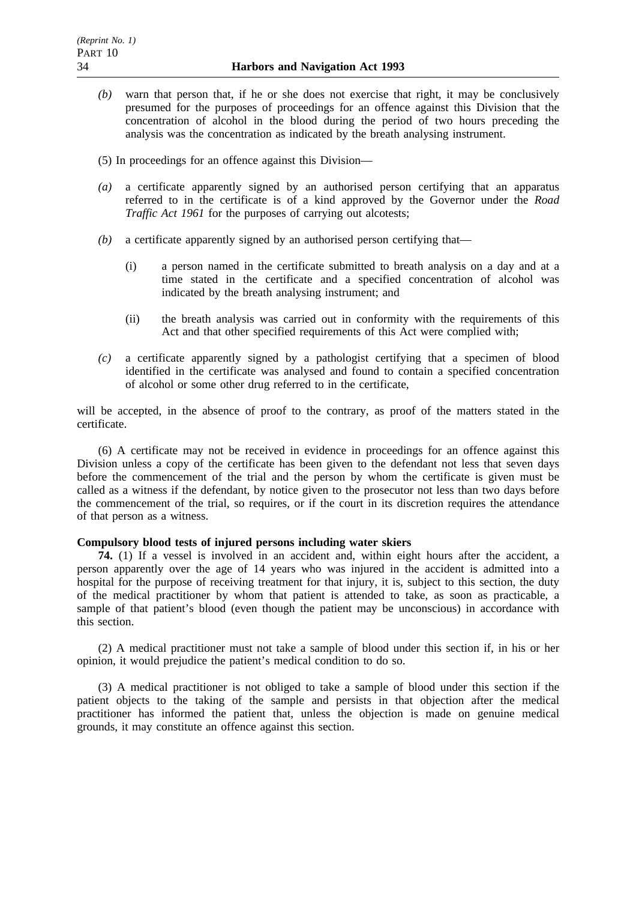- *(b)* warn that person that, if he or she does not exercise that right, it may be conclusively presumed for the purposes of proceedings for an offence against this Division that the concentration of alcohol in the blood during the period of two hours preceding the analysis was the concentration as indicated by the breath analysing instrument.
- (5) In proceedings for an offence against this Division—
- *(a)* a certificate apparently signed by an authorised person certifying that an apparatus referred to in the certificate is of a kind approved by the Governor under the *Road Traffic Act 1961* for the purposes of carrying out alcotests;
- *(b)* a certificate apparently signed by an authorised person certifying that—
	- (i) a person named in the certificate submitted to breath analysis on a day and at a time stated in the certificate and a specified concentration of alcohol was indicated by the breath analysing instrument; and
	- (ii) the breath analysis was carried out in conformity with the requirements of this Act and that other specified requirements of this Act were complied with;
- *(c)* a certificate apparently signed by a pathologist certifying that a specimen of blood identified in the certificate was analysed and found to contain a specified concentration of alcohol or some other drug referred to in the certificate,

will be accepted, in the absence of proof to the contrary, as proof of the matters stated in the certificate.

(6) A certificate may not be received in evidence in proceedings for an offence against this Division unless a copy of the certificate has been given to the defendant not less that seven days before the commencement of the trial and the person by whom the certificate is given must be called as a witness if the defendant, by notice given to the prosecutor not less than two days before the commencement of the trial, so requires, or if the court in its discretion requires the attendance of that person as a witness.

### **Compulsory blood tests of injured persons including water skiers**

**74.** (1) If a vessel is involved in an accident and, within eight hours after the accident, a person apparently over the age of 14 years who was injured in the accident is admitted into a hospital for the purpose of receiving treatment for that injury, it is, subject to this section, the duty of the medical practitioner by whom that patient is attended to take, as soon as practicable, a sample of that patient's blood (even though the patient may be unconscious) in accordance with this section.

(2) A medical practitioner must not take a sample of blood under this section if, in his or her opinion, it would prejudice the patient's medical condition to do so.

(3) A medical practitioner is not obliged to take a sample of blood under this section if the patient objects to the taking of the sample and persists in that objection after the medical practitioner has informed the patient that, unless the objection is made on genuine medical grounds, it may constitute an offence against this section.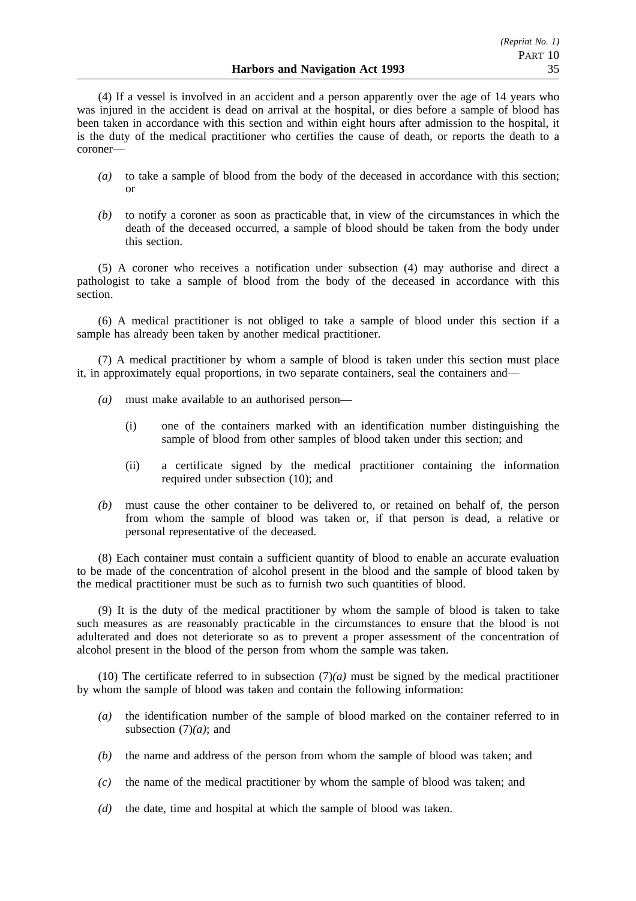(4) If a vessel is involved in an accident and a person apparently over the age of 14 years who was injured in the accident is dead on arrival at the hospital, or dies before a sample of blood has been taken in accordance with this section and within eight hours after admission to the hospital, it is the duty of the medical practitioner who certifies the cause of death, or reports the death to a coroner—

- *(a)* to take a sample of blood from the body of the deceased in accordance with this section; or
- *(b)* to notify a coroner as soon as practicable that, in view of the circumstances in which the death of the deceased occurred, a sample of blood should be taken from the body under this section.

(5) A coroner who receives a notification under subsection (4) may authorise and direct a pathologist to take a sample of blood from the body of the deceased in accordance with this section.

(6) A medical practitioner is not obliged to take a sample of blood under this section if a sample has already been taken by another medical practitioner.

(7) A medical practitioner by whom a sample of blood is taken under this section must place it, in approximately equal proportions, in two separate containers, seal the containers and—

- *(a)* must make available to an authorised person—
	- (i) one of the containers marked with an identification number distinguishing the sample of blood from other samples of blood taken under this section; and
	- (ii) a certificate signed by the medical practitioner containing the information required under subsection (10); and
- *(b)* must cause the other container to be delivered to, or retained on behalf of, the person from whom the sample of blood was taken or, if that person is dead, a relative or personal representative of the deceased.

(8) Each container must contain a sufficient quantity of blood to enable an accurate evaluation to be made of the concentration of alcohol present in the blood and the sample of blood taken by the medical practitioner must be such as to furnish two such quantities of blood.

(9) It is the duty of the medical practitioner by whom the sample of blood is taken to take such measures as are reasonably practicable in the circumstances to ensure that the blood is not adulterated and does not deteriorate so as to prevent a proper assessment of the concentration of alcohol present in the blood of the person from whom the sample was taken.

(10) The certificate referred to in subsection  $(7)(a)$  must be signed by the medical practitioner by whom the sample of blood was taken and contain the following information:

- *(a)* the identification number of the sample of blood marked on the container referred to in subsection (7)*(a)*; and
- *(b)* the name and address of the person from whom the sample of blood was taken; and
- *(c)* the name of the medical practitioner by whom the sample of blood was taken; and
- *(d)* the date, time and hospital at which the sample of blood was taken.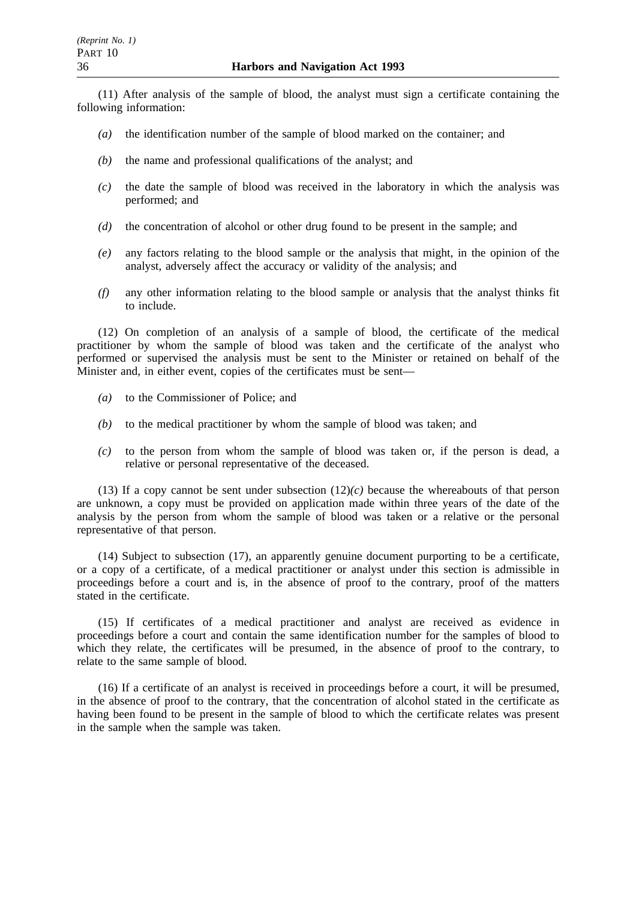(11) After analysis of the sample of blood, the analyst must sign a certificate containing the following information:

- *(a)* the identification number of the sample of blood marked on the container; and
- *(b)* the name and professional qualifications of the analyst; and
- *(c)* the date the sample of blood was received in the laboratory in which the analysis was performed; and
- *(d)* the concentration of alcohol or other drug found to be present in the sample; and
- *(e)* any factors relating to the blood sample or the analysis that might, in the opinion of the analyst, adversely affect the accuracy or validity of the analysis; and
- *(f)* any other information relating to the blood sample or analysis that the analyst thinks fit to include.

(12) On completion of an analysis of a sample of blood, the certificate of the medical practitioner by whom the sample of blood was taken and the certificate of the analyst who performed or supervised the analysis must be sent to the Minister or retained on behalf of the Minister and, in either event, copies of the certificates must be sent—

- *(a)* to the Commissioner of Police; and
- *(b)* to the medical practitioner by whom the sample of blood was taken; and
- *(c)* to the person from whom the sample of blood was taken or, if the person is dead, a relative or personal representative of the deceased.

(13) If a copy cannot be sent under subsection (12)*(c)* because the whereabouts of that person are unknown, a copy must be provided on application made within three years of the date of the analysis by the person from whom the sample of blood was taken or a relative or the personal representative of that person.

(14) Subject to subsection (17), an apparently genuine document purporting to be a certificate, or a copy of a certificate, of a medical practitioner or analyst under this section is admissible in proceedings before a court and is, in the absence of proof to the contrary, proof of the matters stated in the certificate.

(15) If certificates of a medical practitioner and analyst are received as evidence in proceedings before a court and contain the same identification number for the samples of blood to which they relate, the certificates will be presumed, in the absence of proof to the contrary, to relate to the same sample of blood.

(16) If a certificate of an analyst is received in proceedings before a court, it will be presumed, in the absence of proof to the contrary, that the concentration of alcohol stated in the certificate as having been found to be present in the sample of blood to which the certificate relates was present in the sample when the sample was taken.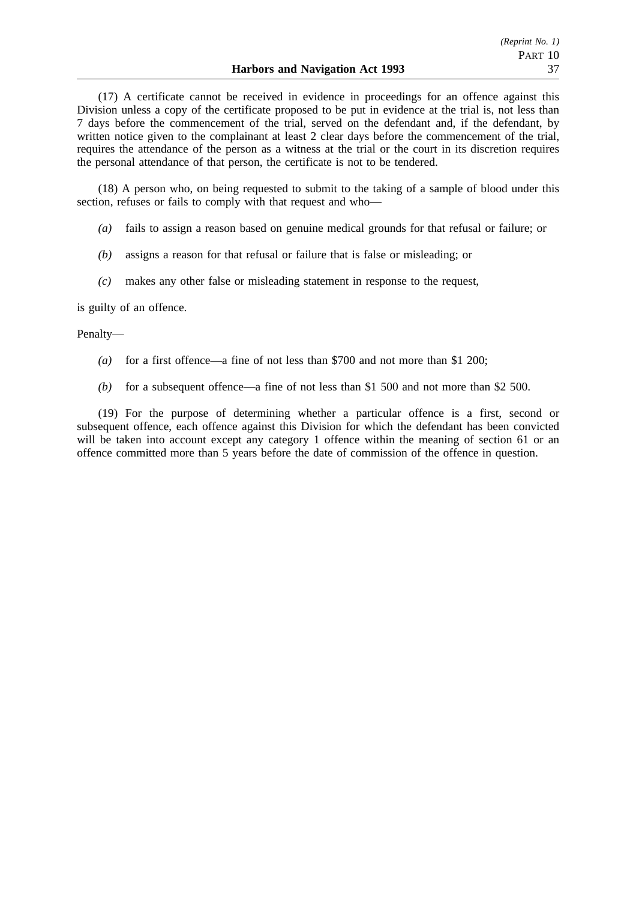(17) A certificate cannot be received in evidence in proceedings for an offence against this Division unless a copy of the certificate proposed to be put in evidence at the trial is, not less than 7 days before the commencement of the trial, served on the defendant and, if the defendant, by written notice given to the complainant at least 2 clear days before the commencement of the trial, requires the attendance of the person as a witness at the trial or the court in its discretion requires the personal attendance of that person, the certificate is not to be tendered.

(18) A person who, on being requested to submit to the taking of a sample of blood under this section, refuses or fails to comply with that request and who—

- *(a)* fails to assign a reason based on genuine medical grounds for that refusal or failure; or
- *(b)* assigns a reason for that refusal or failure that is false or misleading; or
- *(c)* makes any other false or misleading statement in response to the request,

is guilty of an offence.

### Penalty—

- *(a)* for a first offence—a fine of not less than \$700 and not more than \$1 200;
- *(b)* for a subsequent offence—a fine of not less than \$1 500 and not more than \$2 500.

(19) For the purpose of determining whether a particular offence is a first, second or subsequent offence, each offence against this Division for which the defendant has been convicted will be taken into account except any category 1 offence within the meaning of section 61 or an offence committed more than 5 years before the date of commission of the offence in question.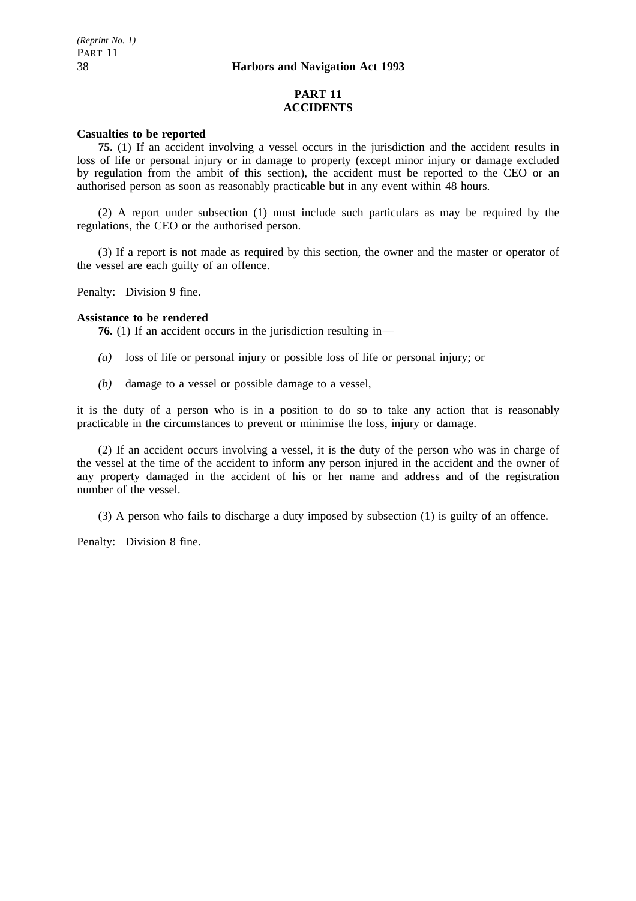### **PART 11 ACCIDENTS**

### **Casualties to be reported**

**75.** (1) If an accident involving a vessel occurs in the jurisdiction and the accident results in loss of life or personal injury or in damage to property (except minor injury or damage excluded by regulation from the ambit of this section), the accident must be reported to the CEO or an authorised person as soon as reasonably practicable but in any event within 48 hours.

(2) A report under subsection (1) must include such particulars as may be required by the regulations, the CEO or the authorised person.

(3) If a report is not made as required by this section, the owner and the master or operator of the vessel are each guilty of an offence.

Penalty: Division 9 fine.

### **Assistance to be rendered**

**76.** (1) If an accident occurs in the jurisdiction resulting in—

- *(a)* loss of life or personal injury or possible loss of life or personal injury; or
- *(b)* damage to a vessel or possible damage to a vessel,

it is the duty of a person who is in a position to do so to take any action that is reasonably practicable in the circumstances to prevent or minimise the loss, injury or damage.

(2) If an accident occurs involving a vessel, it is the duty of the person who was in charge of the vessel at the time of the accident to inform any person injured in the accident and the owner of any property damaged in the accident of his or her name and address and of the registration number of the vessel.

(3) A person who fails to discharge a duty imposed by subsection (1) is guilty of an offence.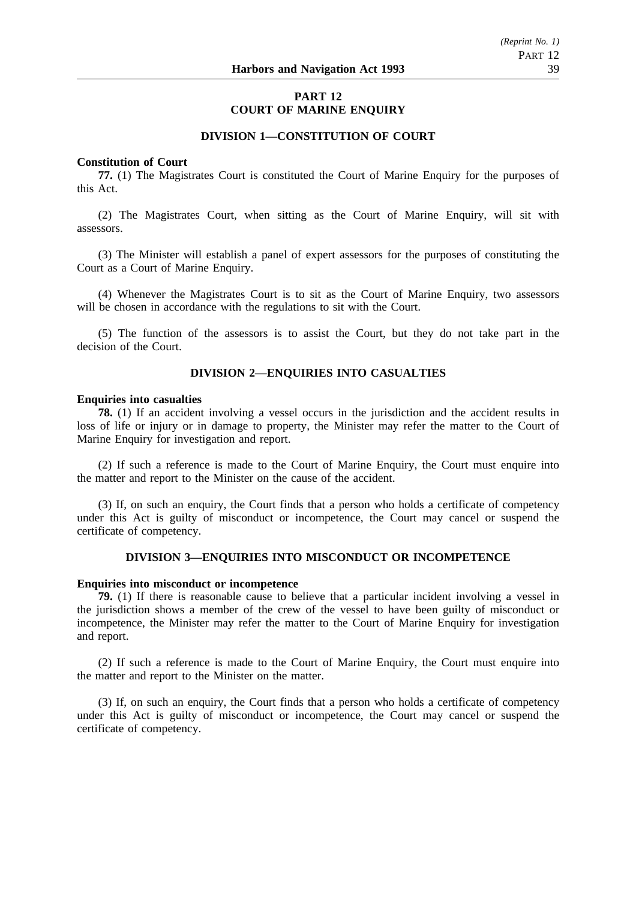### **PART 12 COURT OF MARINE ENQUIRY**

### **DIVISION 1—CONSTITUTION OF COURT**

#### **Constitution of Court**

**77.** (1) The Magistrates Court is constituted the Court of Marine Enquiry for the purposes of this Act.

(2) The Magistrates Court, when sitting as the Court of Marine Enquiry, will sit with assessors.

(3) The Minister will establish a panel of expert assessors for the purposes of constituting the Court as a Court of Marine Enquiry.

(4) Whenever the Magistrates Court is to sit as the Court of Marine Enquiry, two assessors will be chosen in accordance with the regulations to sit with the Court.

(5) The function of the assessors is to assist the Court, but they do not take part in the decision of the Court.

### **DIVISION 2—ENQUIRIES INTO CASUALTIES**

#### **Enquiries into casualties**

**78.** (1) If an accident involving a vessel occurs in the jurisdiction and the accident results in loss of life or injury or in damage to property, the Minister may refer the matter to the Court of Marine Enquiry for investigation and report.

(2) If such a reference is made to the Court of Marine Enquiry, the Court must enquire into the matter and report to the Minister on the cause of the accident.

(3) If, on such an enquiry, the Court finds that a person who holds a certificate of competency under this Act is guilty of misconduct or incompetence, the Court may cancel or suspend the certificate of competency.

### **DIVISION 3—ENQUIRIES INTO MISCONDUCT OR INCOMPETENCE**

#### **Enquiries into misconduct or incompetence**

**79.** (1) If there is reasonable cause to believe that a particular incident involving a vessel in the jurisdiction shows a member of the crew of the vessel to have been guilty of misconduct or incompetence, the Minister may refer the matter to the Court of Marine Enquiry for investigation and report.

(2) If such a reference is made to the Court of Marine Enquiry, the Court must enquire into the matter and report to the Minister on the matter.

(3) If, on such an enquiry, the Court finds that a person who holds a certificate of competency under this Act is guilty of misconduct or incompetence, the Court may cancel or suspend the certificate of competency.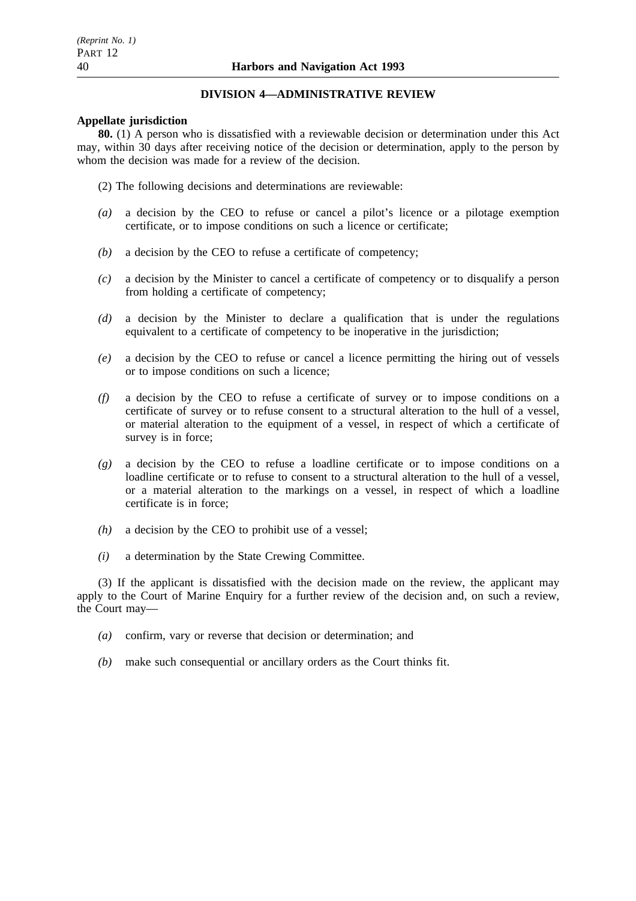### **DIVISION 4—ADMINISTRATIVE REVIEW**

### **Appellate jurisdiction**

**80.** (1) A person who is dissatisfied with a reviewable decision or determination under this Act may, within 30 days after receiving notice of the decision or determination, apply to the person by whom the decision was made for a review of the decision.

- (2) The following decisions and determinations are reviewable:
- *(a)* a decision by the CEO to refuse or cancel a pilot's licence or a pilotage exemption certificate, or to impose conditions on such a licence or certificate;
- *(b)* a decision by the CEO to refuse a certificate of competency;
- *(c)* a decision by the Minister to cancel a certificate of competency or to disqualify a person from holding a certificate of competency;
- *(d)* a decision by the Minister to declare a qualification that is under the regulations equivalent to a certificate of competency to be inoperative in the jurisdiction;
- *(e)* a decision by the CEO to refuse or cancel a licence permitting the hiring out of vessels or to impose conditions on such a licence;
- *(f)* a decision by the CEO to refuse a certificate of survey or to impose conditions on a certificate of survey or to refuse consent to a structural alteration to the hull of a vessel, or material alteration to the equipment of a vessel, in respect of which a certificate of survey is in force;
- *(g)* a decision by the CEO to refuse a loadline certificate or to impose conditions on a loadline certificate or to refuse to consent to a structural alteration to the hull of a vessel, or a material alteration to the markings on a vessel, in respect of which a loadline certificate is in force;
- *(h)* a decision by the CEO to prohibit use of a vessel;
- *(i)* a determination by the State Crewing Committee.

(3) If the applicant is dissatisfied with the decision made on the review, the applicant may apply to the Court of Marine Enquiry for a further review of the decision and, on such a review, the Court may—

- *(a)* confirm, vary or reverse that decision or determination; and
- *(b)* make such consequential or ancillary orders as the Court thinks fit.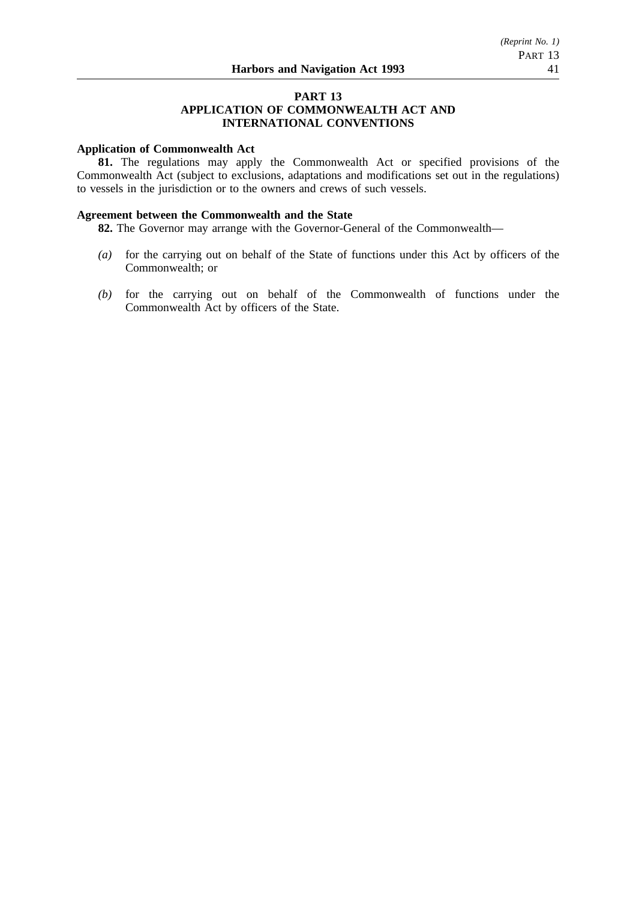# **PART 13**

### **APPLICATION OF COMMONWEALTH ACT AND INTERNATIONAL CONVENTIONS**

### **Application of Commonwealth Act**

**81.** The regulations may apply the Commonwealth Act or specified provisions of the Commonwealth Act (subject to exclusions, adaptations and modifications set out in the regulations) to vessels in the jurisdiction or to the owners and crews of such vessels.

### **Agreement between the Commonwealth and the State**

**82.** The Governor may arrange with the Governor-General of the Commonwealth—

- *(a)* for the carrying out on behalf of the State of functions under this Act by officers of the Commonwealth; or
- *(b)* for the carrying out on behalf of the Commonwealth of functions under the Commonwealth Act by officers of the State.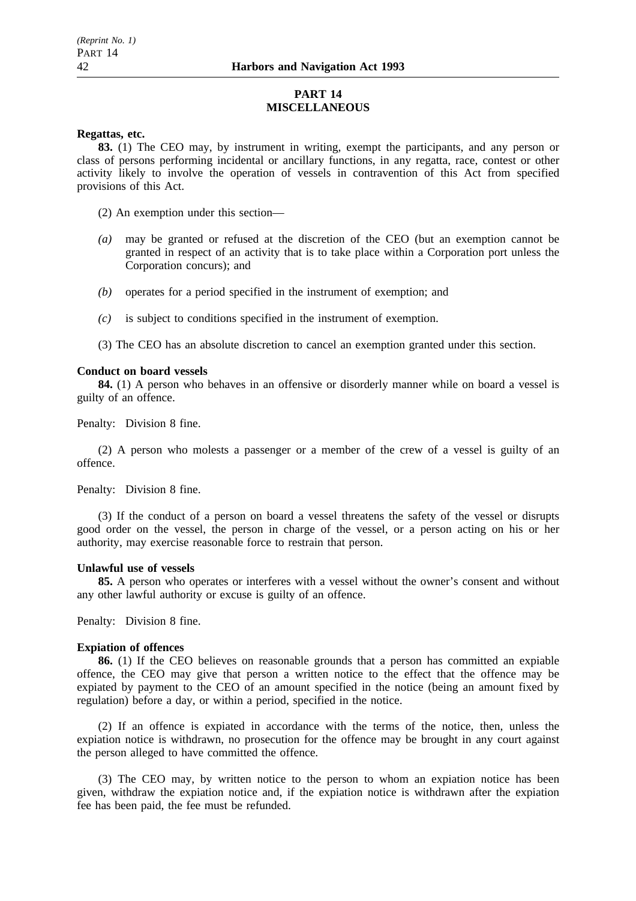### **PART 14 MISCELLANEOUS**

### **Regattas, etc.**

**83.** (1) The CEO may, by instrument in writing, exempt the participants, and any person or class of persons performing incidental or ancillary functions, in any regatta, race, contest or other activity likely to involve the operation of vessels in contravention of this Act from specified provisions of this Act.

(2) An exemption under this section—

- *(a)* may be granted or refused at the discretion of the CEO (but an exemption cannot be granted in respect of an activity that is to take place within a Corporation port unless the Corporation concurs); and
- *(b)* operates for a period specified in the instrument of exemption; and
- *(c)* is subject to conditions specified in the instrument of exemption.
- (3) The CEO has an absolute discretion to cancel an exemption granted under this section.

### **Conduct on board vessels**

**84.** (1) A person who behaves in an offensive or disorderly manner while on board a vessel is guilty of an offence.

Penalty: Division 8 fine.

(2) A person who molests a passenger or a member of the crew of a vessel is guilty of an offence.

Penalty: Division 8 fine.

(3) If the conduct of a person on board a vessel threatens the safety of the vessel or disrupts good order on the vessel, the person in charge of the vessel, or a person acting on his or her authority, may exercise reasonable force to restrain that person.

### **Unlawful use of vessels**

**85.** A person who operates or interferes with a vessel without the owner's consent and without any other lawful authority or excuse is guilty of an offence.

Penalty: Division 8 fine.

### **Expiation of offences**

**86.** (1) If the CEO believes on reasonable grounds that a person has committed an expiable offence, the CEO may give that person a written notice to the effect that the offence may be expiated by payment to the CEO of an amount specified in the notice (being an amount fixed by regulation) before a day, or within a period, specified in the notice.

(2) If an offence is expiated in accordance with the terms of the notice, then, unless the expiation notice is withdrawn, no prosecution for the offence may be brought in any court against the person alleged to have committed the offence.

(3) The CEO may, by written notice to the person to whom an expiation notice has been given, withdraw the expiation notice and, if the expiation notice is withdrawn after the expiation fee has been paid, the fee must be refunded.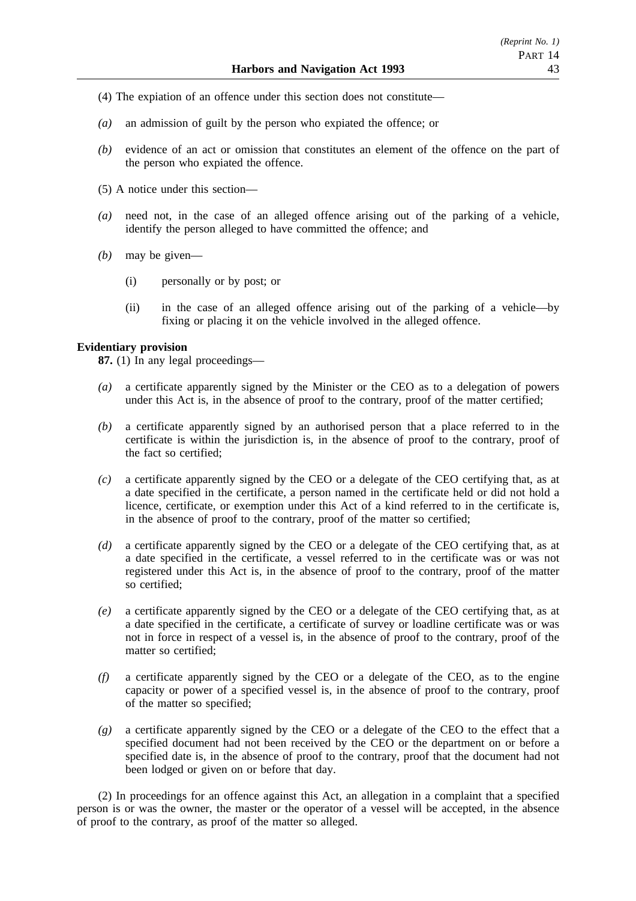- (4) The expiation of an offence under this section does not constitute—
- *(a)* an admission of guilt by the person who expiated the offence; or
- *(b)* evidence of an act or omission that constitutes an element of the offence on the part of the person who expiated the offence.
- (5) A notice under this section—
- *(a)* need not, in the case of an alleged offence arising out of the parking of a vehicle, identify the person alleged to have committed the offence; and
- *(b)* may be given—
	- (i) personally or by post; or
	- (ii) in the case of an alleged offence arising out of the parking of a vehicle—by fixing or placing it on the vehicle involved in the alleged offence.

### **Evidentiary provision**

**87.** (1) In any legal proceedings—

- *(a)* a certificate apparently signed by the Minister or the CEO as to a delegation of powers under this Act is, in the absence of proof to the contrary, proof of the matter certified;
- *(b)* a certificate apparently signed by an authorised person that a place referred to in the certificate is within the jurisdiction is, in the absence of proof to the contrary, proof of the fact so certified;
- *(c)* a certificate apparently signed by the CEO or a delegate of the CEO certifying that, as at a date specified in the certificate, a person named in the certificate held or did not hold a licence, certificate, or exemption under this Act of a kind referred to in the certificate is, in the absence of proof to the contrary, proof of the matter so certified;
- *(d)* a certificate apparently signed by the CEO or a delegate of the CEO certifying that, as at a date specified in the certificate, a vessel referred to in the certificate was or was not registered under this Act is, in the absence of proof to the contrary, proof of the matter so certified;
- *(e)* a certificate apparently signed by the CEO or a delegate of the CEO certifying that, as at a date specified in the certificate, a certificate of survey or loadline certificate was or was not in force in respect of a vessel is, in the absence of proof to the contrary, proof of the matter so certified;
- *(f)* a certificate apparently signed by the CEO or a delegate of the CEO, as to the engine capacity or power of a specified vessel is, in the absence of proof to the contrary, proof of the matter so specified;
- *(g)* a certificate apparently signed by the CEO or a delegate of the CEO to the effect that a specified document had not been received by the CEO or the department on or before a specified date is, in the absence of proof to the contrary, proof that the document had not been lodged or given on or before that day.

(2) In proceedings for an offence against this Act, an allegation in a complaint that a specified person is or was the owner, the master or the operator of a vessel will be accepted, in the absence of proof to the contrary, as proof of the matter so alleged.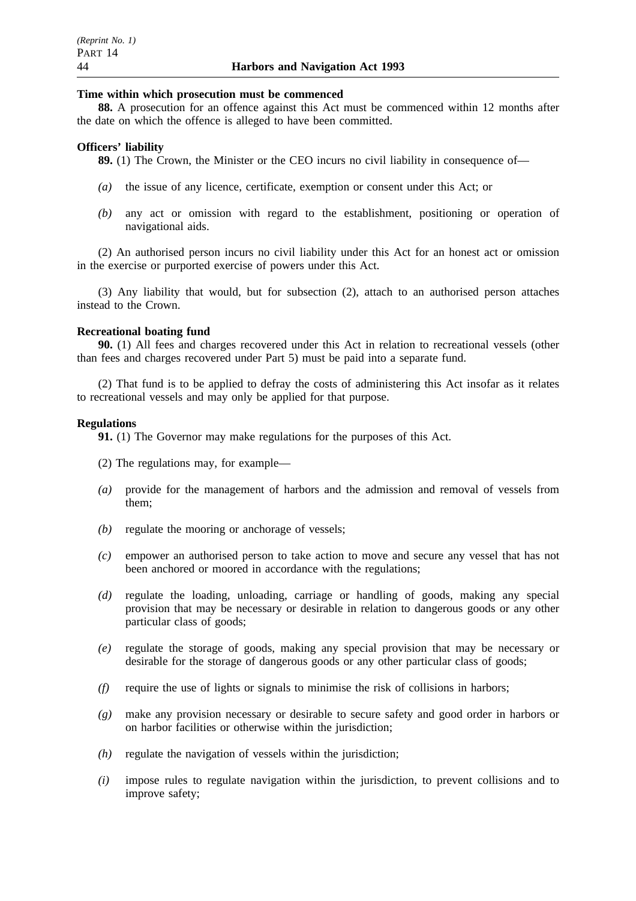### **Time within which prosecution must be commenced**

**88.** A prosecution for an offence against this Act must be commenced within 12 months after the date on which the offence is alleged to have been committed.

### **Officers' liability**

**89.** (1) The Crown, the Minister or the CEO incurs no civil liability in consequence of—

- *(a)* the issue of any licence, certificate, exemption or consent under this Act; or
- *(b)* any act or omission with regard to the establishment, positioning or operation of navigational aids.

(2) An authorised person incurs no civil liability under this Act for an honest act or omission in the exercise or purported exercise of powers under this Act.

(3) Any liability that would, but for subsection (2), attach to an authorised person attaches instead to the Crown.

### **Recreational boating fund**

**90.** (1) All fees and charges recovered under this Act in relation to recreational vessels (other than fees and charges recovered under Part 5) must be paid into a separate fund.

(2) That fund is to be applied to defray the costs of administering this Act insofar as it relates to recreational vessels and may only be applied for that purpose.

### **Regulations**

**91.** (1) The Governor may make regulations for the purposes of this Act.

- (2) The regulations may, for example—
- *(a)* provide for the management of harbors and the admission and removal of vessels from them;
- *(b)* regulate the mooring or anchorage of vessels;
- *(c)* empower an authorised person to take action to move and secure any vessel that has not been anchored or moored in accordance with the regulations;
- *(d)* regulate the loading, unloading, carriage or handling of goods, making any special provision that may be necessary or desirable in relation to dangerous goods or any other particular class of goods;
- *(e)* regulate the storage of goods, making any special provision that may be necessary or desirable for the storage of dangerous goods or any other particular class of goods;
- *(f)* require the use of lights or signals to minimise the risk of collisions in harbors;
- *(g)* make any provision necessary or desirable to secure safety and good order in harbors or on harbor facilities or otherwise within the jurisdiction;
- *(h)* regulate the navigation of vessels within the jurisdiction;
- *(i)* impose rules to regulate navigation within the jurisdiction, to prevent collisions and to improve safety;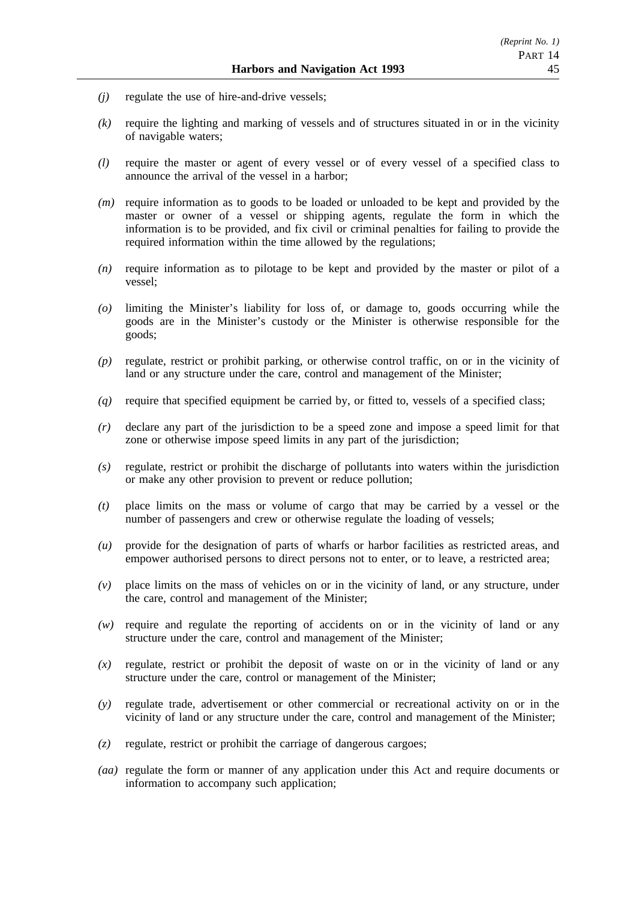- *(j)* regulate the use of hire-and-drive vessels;
- *(k)* require the lighting and marking of vessels and of structures situated in or in the vicinity of navigable waters;
- *(l)* require the master or agent of every vessel or of every vessel of a specified class to announce the arrival of the vessel in a harbor;
- *(m)* require information as to goods to be loaded or unloaded to be kept and provided by the master or owner of a vessel or shipping agents, regulate the form in which the information is to be provided, and fix civil or criminal penalties for failing to provide the required information within the time allowed by the regulations;
- *(n)* require information as to pilotage to be kept and provided by the master or pilot of a vessel;
- *(o)* limiting the Minister's liability for loss of, or damage to, goods occurring while the goods are in the Minister's custody or the Minister is otherwise responsible for the goods;
- *(p)* regulate, restrict or prohibit parking, or otherwise control traffic, on or in the vicinity of land or any structure under the care, control and management of the Minister;
- *(q)* require that specified equipment be carried by, or fitted to, vessels of a specified class;
- *(r)* declare any part of the jurisdiction to be a speed zone and impose a speed limit for that zone or otherwise impose speed limits in any part of the jurisdiction;
- *(s)* regulate, restrict or prohibit the discharge of pollutants into waters within the jurisdiction or make any other provision to prevent or reduce pollution;
- *(t)* place limits on the mass or volume of cargo that may be carried by a vessel or the number of passengers and crew or otherwise regulate the loading of vessels;
- *(u)* provide for the designation of parts of wharfs or harbor facilities as restricted areas, and empower authorised persons to direct persons not to enter, or to leave, a restricted area;
- *(v)* place limits on the mass of vehicles on or in the vicinity of land, or any structure, under the care, control and management of the Minister;
- *(w)* require and regulate the reporting of accidents on or in the vicinity of land or any structure under the care, control and management of the Minister;
- *(x)* regulate, restrict or prohibit the deposit of waste on or in the vicinity of land or any structure under the care, control or management of the Minister;
- *(y)* regulate trade, advertisement or other commercial or recreational activity on or in the vicinity of land or any structure under the care, control and management of the Minister;
- *(z)* regulate, restrict or prohibit the carriage of dangerous cargoes;
- *(aa)* regulate the form or manner of any application under this Act and require documents or information to accompany such application;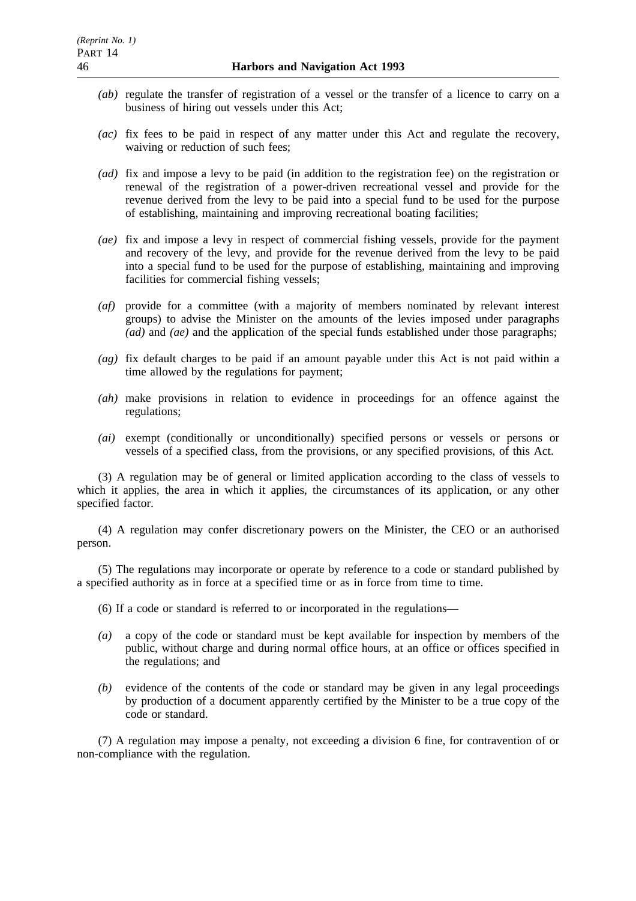- *(ab)* regulate the transfer of registration of a vessel or the transfer of a licence to carry on a business of hiring out vessels under this Act;
- *(ac)* fix fees to be paid in respect of any matter under this Act and regulate the recovery, waiving or reduction of such fees;
- *(ad)* fix and impose a levy to be paid (in addition to the registration fee) on the registration or renewal of the registration of a power-driven recreational vessel and provide for the revenue derived from the levy to be paid into a special fund to be used for the purpose of establishing, maintaining and improving recreational boating facilities;
- *(ae)* fix and impose a levy in respect of commercial fishing vessels, provide for the payment and recovery of the levy, and provide for the revenue derived from the levy to be paid into a special fund to be used for the purpose of establishing, maintaining and improving facilities for commercial fishing vessels;
- *(af)* provide for a committee (with a majority of members nominated by relevant interest groups) to advise the Minister on the amounts of the levies imposed under paragraphs *(ad)* and *(ae)* and the application of the special funds established under those paragraphs;
- *(ag)* fix default charges to be paid if an amount payable under this Act is not paid within a time allowed by the regulations for payment;
- *(ah)* make provisions in relation to evidence in proceedings for an offence against the regulations;
- *(ai)* exempt (conditionally or unconditionally) specified persons or vessels or persons or vessels of a specified class, from the provisions, or any specified provisions, of this Act.

(3) A regulation may be of general or limited application according to the class of vessels to which it applies, the area in which it applies, the circumstances of its application, or any other specified factor.

(4) A regulation may confer discretionary powers on the Minister, the CEO or an authorised person.

(5) The regulations may incorporate or operate by reference to a code or standard published by a specified authority as in force at a specified time or as in force from time to time.

- (6) If a code or standard is referred to or incorporated in the regulations—
- *(a)* a copy of the code or standard must be kept available for inspection by members of the public, without charge and during normal office hours, at an office or offices specified in the regulations; and
- *(b)* evidence of the contents of the code or standard may be given in any legal proceedings by production of a document apparently certified by the Minister to be a true copy of the code or standard.

(7) A regulation may impose a penalty, not exceeding a division 6 fine, for contravention of or non-compliance with the regulation.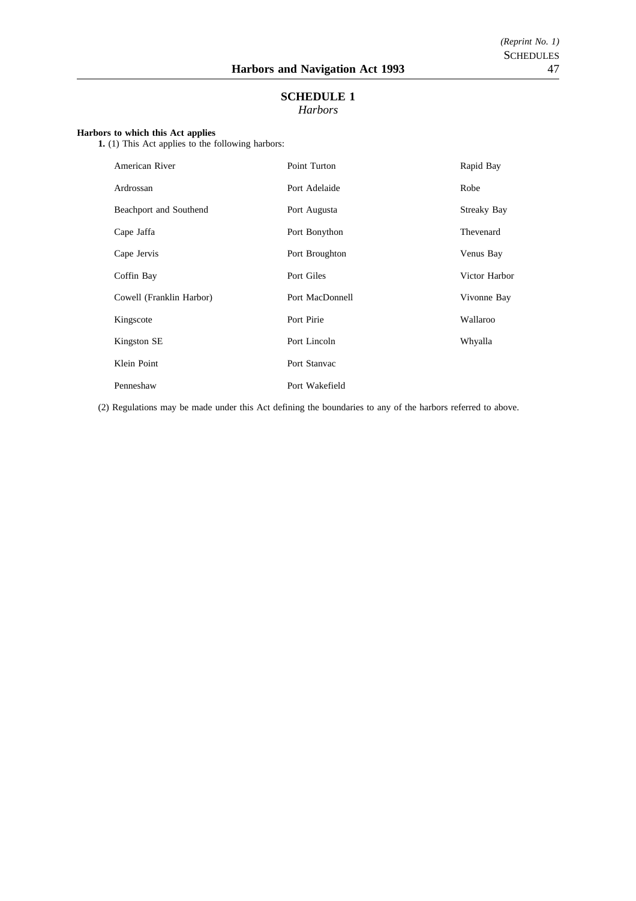### **SCHEDULE 1** *Harbors*

**Harbors to which this Act applies**

**1.** (1) This Act applies to the following harbors:

| American River           | Point Turton    | Rapid Bay          |
|--------------------------|-----------------|--------------------|
| Ardrossan                | Port Adelaide   | Robe               |
| Beachport and Southend   | Port Augusta    | <b>Streaky Bay</b> |
| Cape Jaffa               | Port Bonython   | Thevenard          |
| Cape Jervis              | Port Broughton  | Venus Bay          |
| Coffin Bay               | Port Giles      | Victor Harbor      |
| Cowell (Franklin Harbor) | Port MacDonnell | Vivonne Bay        |
| Kingscote                | Port Pirie      | Wallaroo           |
| Kingston SE              | Port Lincoln    | Whyalla            |
| Klein Point              | Port Stanvac    |                    |
| Penneshaw                | Port Wakefield  |                    |

(2) Regulations may be made under this Act defining the boundaries to any of the harbors referred to above.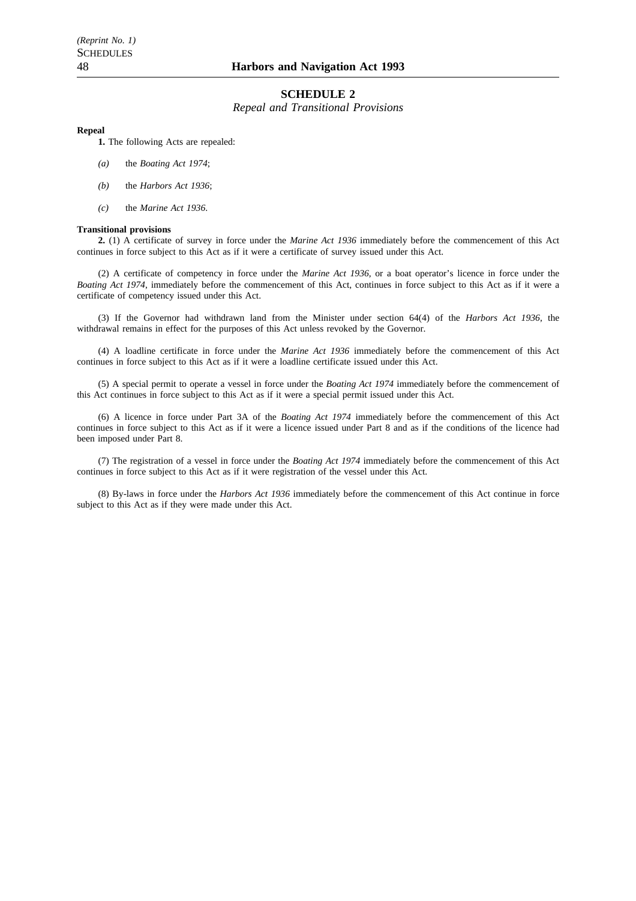### **SCHEDULE 2**

*Repeal and Transitional Provisions*

#### **Repeal**

**1.** The following Acts are repealed:

- *(a)* the *Boating Act 1974*;
- *(b)* the *Harbors Act 1936*;
- *(c)* the *Marine Act 1936*.

#### **Transitional provisions**

**2.** (1) A certificate of survey in force under the *Marine Act 1936* immediately before the commencement of this Act continues in force subject to this Act as if it were a certificate of survey issued under this Act.

(2) A certificate of competency in force under the *Marine Act 1936*, or a boat operator's licence in force under the *Boating Act 1974*, immediately before the commencement of this Act, continues in force subject to this Act as if it were a certificate of competency issued under this Act.

(3) If the Governor had withdrawn land from the Minister under section 64(4) of the *Harbors Act 1936*, the withdrawal remains in effect for the purposes of this Act unless revoked by the Governor.

(4) A loadline certificate in force under the *Marine Act 1936* immediately before the commencement of this Act continues in force subject to this Act as if it were a loadline certificate issued under this Act.

(5) A special permit to operate a vessel in force under the *Boating Act 1974* immediately before the commencement of this Act continues in force subject to this Act as if it were a special permit issued under this Act.

(6) A licence in force under Part 3A of the *Boating Act 1974* immediately before the commencement of this Act continues in force subject to this Act as if it were a licence issued under Part 8 and as if the conditions of the licence had been imposed under Part 8.

(7) The registration of a vessel in force under the *Boating Act 1974* immediately before the commencement of this Act continues in force subject to this Act as if it were registration of the vessel under this Act.

(8) By-laws in force under the *Harbors Act 1936* immediately before the commencement of this Act continue in force subject to this Act as if they were made under this Act.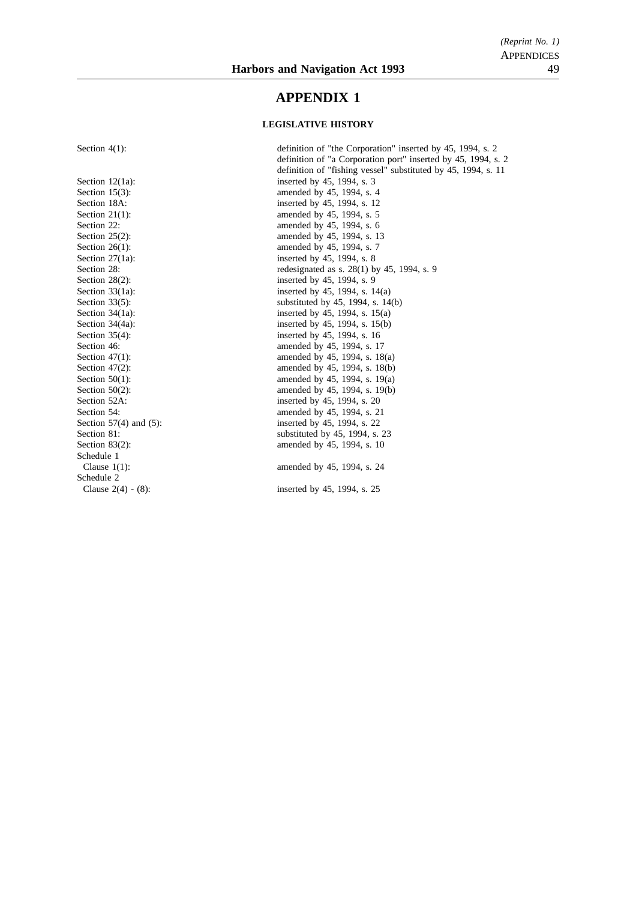## **APPENDIX 1**

#### **LEGISLATIVE HISTORY**

Schedule 1 Schedule 2 Clause 2(4) - (8): inserted by 45, 1994, s. 25

Section 4(1): definition of "the Corporation" inserted by 45, 1994, s. 2 definition of "a Corporation port" inserted by 45, 1994, s. 2 definition of "fishing vessel" substituted by 45, 1994, s. 11 Section  $12(1a)$ : inserted by 45, 1994, s. 3<br>Section  $15(3)$ : amended by 45, 1994, s. 4 amended by 45, 1994, s. 4 Section 18A: inserted by 45, 1994, s. 12<br>Section 21(1): amended by 45, 1994, s. 5 amended by 45, 1994, s. 5 Section 22: amended by 45, 1994, s. 6 Section 25(2): amended by 45, 1994, s. 13<br>Section 26(1): amended by 45, 1994, s. 7 amended by 45, 1994, s. 7 Section  $27(1a)$ : inserted by 45, 1994, s. 8 Section 28: redesignated as s. 28(1) by 45, 1994, s. 9<br>Section 28(2): inserted by 45, 1994, s. 9 inserted by 45, 1994, s. 9 Section 33(1a): inserted by 45, 1994, s. 14(a) Section  $33(5)$ :<br>Section  $34(1a)$ :<br>Section  $34(1a)$ :<br>Section  $34(1a)$ :<br>Section  $34(1a)$ : inserted by 45, 1994, s.  $15(a)$ Section 34(4a): inserted by 45, 1994, s. 15(b) Section 35(4):<br>Section 46:<br>Section 46:<br>Section 46:<br>Section 46: amended by 45, 1994, s. 17 Section 47(1): amended by 45, 1994, s. 18(a) Section 47(2): amended by 45, 1994, s. 18(b)<br>Section 50(1): amended by 45, 1994, s. 19(a) amended by 45, 1994, s.  $19(a)$ Section 50(2): amended by 45, 1994, s. 19(b) Section 52A: inserted by 45, 1994, s. 20<br>Section 54: amended by 45, 1994, s. 21 amended by 45, 1994, s. 21 Section 57(4) and (5): inserted by 45, 1994, s. 22 Section 81: substituted by 45, 1994, s. 23<br>Section 83(2): substituted by 45, 1994, s. 10 amended by 45, 1994, s. 10 Clause 1(1): amended by 45, 1994, s. 24